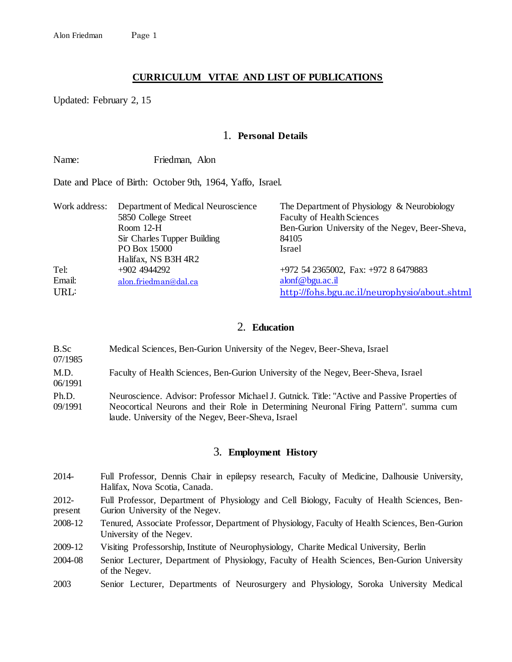# **CURRICULUM VITAE AND LIST OF PUBLICATIONS**

Updated: February 2, 15

## 1. **Personal Details**

Name: Friedman, Alon

Date and Place of Birth: October 9th, 1964, Yaffo, Israel.

| Work address: | Department of Medical Neuroscience<br>5850 College Street<br>Room 12-H | The Department of Physiology & Neurobiology<br><b>Faculty of Health Sciences</b><br>Ben-Gurion University of the Negev, Beer-Sheva, |
|---------------|------------------------------------------------------------------------|-------------------------------------------------------------------------------------------------------------------------------------|
|               | Sir Charles Tupper Building<br>PO Box 15000                            | 84105<br>Israel                                                                                                                     |
|               | Halifax, NS B3H 4R2                                                    |                                                                                                                                     |
| Tel:          | $+9024944292$                                                          | $+972$ 54 2365002, Fax: $+972$ 8 6479883                                                                                            |
| Email:        | alon.friedman@dal.ca                                                   | alonf@bgu.ac.il                                                                                                                     |
| URL:          |                                                                        | http://fohs.bgu.ac.il/neurophysio/about.shtml                                                                                       |

# 2. **Education**

B.Sc 07/1985 Medical Sciences, Ben-Gurion University of the Negev, Beer-Sheva, Israel M.D. 06/1991 Faculty of Health Sciences, Ben-Gurion University of the Negev, Beer-Sheva, Israel Ph.D. 09/1991 Neuroscience. Advisor: Professor Michael J. Gutnick. Title: "Active and Passive Properties of Neocortical Neurons and their Role in Determining Neuronal Firing Pattern". summa cum laude. University of the Negev, Beer-Sheva, Israel

## 3. **Employment History**

- 2014- Full Professor, Dennis Chair in epilepsy research, Faculty of Medicine, Dalhousie University, Halifax, Nova Scotia, Canada.
- 2012 present Full Professor, Department of Physiology and Cell Biology, Faculty of Health Sciences, Ben-Gurion University of the Negev.
- 2008-12 Tenured, Associate Professor, Department of Physiology, Faculty of Health Sciences, Ben-Gurion University of the Negev.
- 2009-12 Visiting Professorship, Institute of Neurophysiology, Charite Medical University, Berlin
- 2004-08 Senior Lecturer, Department of Physiology, Faculty of Health Sciences, Ben-Gurion University of the Negev.
- 2003 Senior Lecturer, Departments of Neurosurgery and Physiology, Soroka University Medical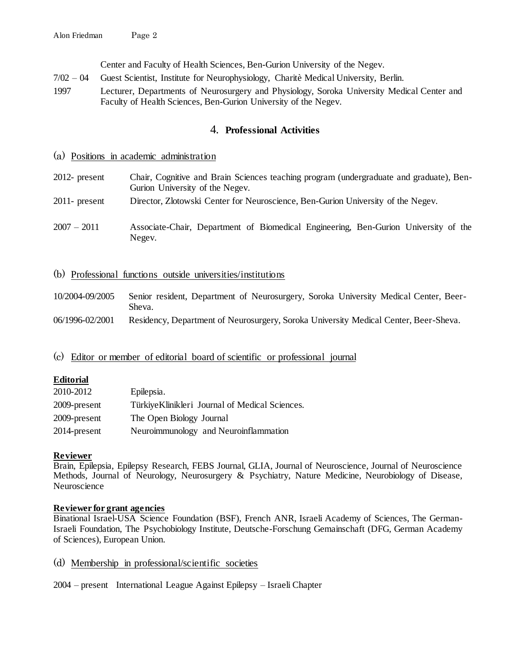Center and Faculty of Health Sciences, Ben-Gurion University of the Negev.

- 7/02 04 Guest Scientist, Institute for Neurophysiology, Charitè Medical University, Berlin.
- 1997 Lecturer, Departments of Neurosurgery and Physiology, Soroka University Medical Center and Faculty of Health Sciences, Ben-Gurion University of the Negev.

# 4. **Professional Activities**

## (a) Positions in academic administration

- 2012- present Chair, Cognitive and Brain Sciences teaching program (undergraduate and graduate), Ben-Gurion University of the Negev.
- 2011- present Director, Zlotowski Center for Neuroscience, Ben-Gurion University of the Negev.
- 2007 2011 Associate-Chair, Department of Biomedical Engineering, Ben-Gurion University of the Negev.
- (b) Professional functions outside universities/institutions

| 10/2004-09/2005 | Senior resident, Department of Neurosurgery, Soroka University Medical Center, Beer- |
|-----------------|--------------------------------------------------------------------------------------|
|                 | Sheva.                                                                               |
| 06/1996-02/2001 | Residency, Department of Neurosurgery, Soroka University Medical Center, Beer-Sheva. |

(c) Editor or member of editorial board of scientific or professional journal

## **Editorial**

| 2010-2012    | Epilepsia.                                      |
|--------------|-------------------------------------------------|
| 2009-present | Türkiye Klinikleri Journal of Medical Sciences. |
| 2009-present | The Open Biology Journal                        |
| 2014-present | Neuroimmunology and Neuroinflammation           |

## **Reviewer**

Brain, Epilepsia, Epilepsy Research, FEBS Journal, GLIA, Journal of Neuroscience, Journal of Neuroscience Methods, Journal of Neurology, Neurosurgery & Psychiatry, Nature Medicine, Neurobiology of Disease, Neuroscience

## **Reviewer for grant agencies**

Binational Israel-USA Science Foundation (BSF), French ANR, Israeli Academy of Sciences, The German-Israeli Foundation, The Psychobiology Institute, Deutsche-Forschung Gemainschaft (DFG, German Academy of Sciences), European Union.

- (d) Membership in professional/scientific societies
- 2004 present International League Against Epilepsy Israeli Chapter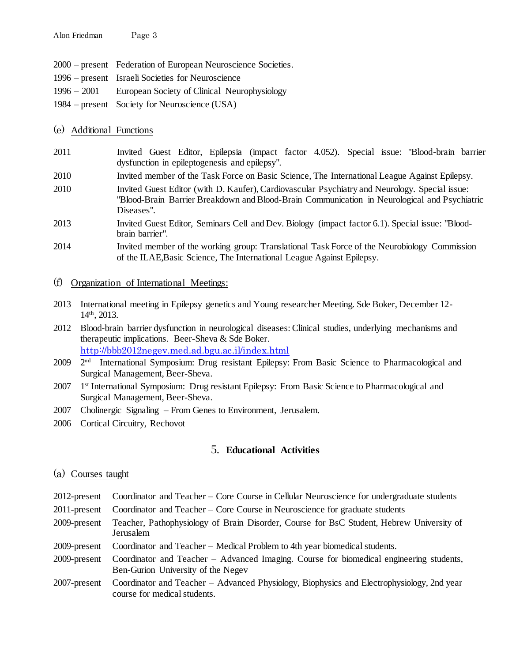- 2000 present Federation of European Neuroscience Societies.
- 1996 present Israeli Societies for Neuroscience
- 1996 2001 European Society of Clinical Neurophysiology
- 1984 present Society for Neuroscience (USA)

## (e) Additional Functions

- 2011 Invited Guest Editor, Epilepsia (impact factor 4.052). Special issue: "Blood-brain barrier dysfunction in epileptogenesis and epilepsy".
- 2010 Invited member of the Task Force on Basic Science, The International League Against Epilepsy.
- 2010 Invited Guest Editor (with D. Kaufer), Cardiovascular Psychiatry and Neurology. Special issue: "Blood-Brain Barrier Breakdown and Blood-Brain Communication in Neurological and Psychiatric Diseases".
- 2013 Invited Guest Editor, Seminars Cell and Dev. Biology (impact factor 6.1). Special issue: "Bloodbrain barrier".
- 2014 Invited member of the working group: Translational Task Force of the Neurobiology Commission of the ILAE,Basic Science, The International League Against Epilepsy.

## (f) Organization of International Meetings:

- 2013 International meeting in Epilepsy genetics and Young researcher Meeting. Sde Boker, December 12- 14th, 2013.
- 2012 Blood-brain barrier dysfunction in neurological diseases: Clinical studies, underlying mechanisms and therapeutic implications. Beer-Sheva & Sde Boker. <http://bbb2012negev.med.ad.bgu.ac.il/index.html>
- 2009 <sup>2nd</sup> International Symposium: Drug resistant Epilepsy: From Basic Science to Pharmacological and Surgical Management, Beer-Sheva.
- 2007 1<sup>st</sup> International Symposium: Drug resistant Epilepsy: From Basic Science to Pharmacological and Surgical Management, Beer-Sheva.
- 2007 Cholinergic Signaling From Genes to Environment, Jerusalem.
- 2006 Cortical Circuitry, Rechovot

# 5. **Educational Activities**

## (a) Courses taught

- 2012-present Coordinator and Teacher Core Course in Cellular Neuroscience for undergraduate students
- 2011-present Coordinator and Teacher Core Course in Neuroscience for graduate students
- 2009-present Teacher, Pathophysiology of Brain Disorder, Course for BsC Student, Hebrew University of Jerusalem
- 2009-present Coordinator and Teacher Medical Problem to 4th year biomedical students.
- 2009-present Coordinator and Teacher Advanced Imaging. Course for biomedical engineering students, Ben-Gurion University of the Negev
- 2007-present Coordinator and Teacher Advanced Physiology, Biophysics and Electrophysiology, 2nd year course for medical students.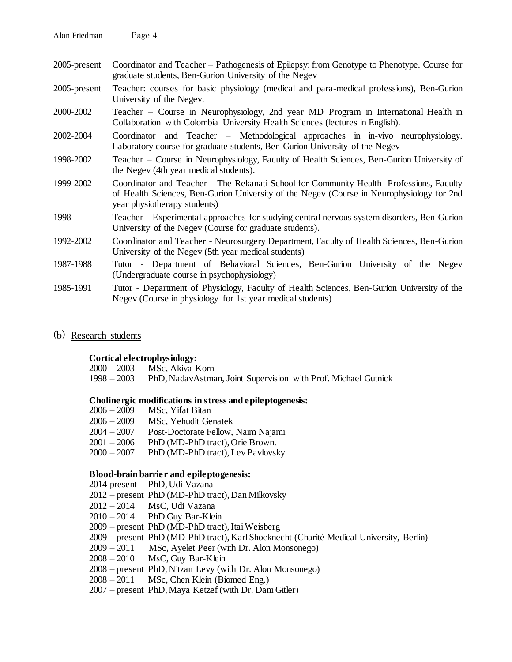| Alon Friedman | Page 4 |
|---------------|--------|
|---------------|--------|

- 2005-present Coordinator and Teacher Pathogenesis of Epilepsy: from Genotype to Phenotype. Course for graduate students, Ben-Gurion University of the Negev
- 2005-present Teacher: courses for basic physiology (medical and para-medical professions), Ben-Gurion University of the Negev.
- 2000-2002 Teacher Course in Neurophysiology, 2nd year MD Program in International Health in Collaboration with Colombia University Health Sciences (lectures in English).
- 2002-2004 Coordinator and Teacher Methodological approaches in in-vivo neurophysiology. Laboratory course for graduate students, Ben-Gurion University of the Negev
- 1998-2002 Teacher Course in Neurophysiology, Faculty of Health Sciences, Ben-Gurion University of the Negev (4th year medical students).
- 1999-2002 Coordinator and Teacher The Rekanati School for Community Health Professions, Faculty of Health Sciences, Ben-Gurion University of the Negev (Course in Neurophysiology for 2nd year physiotherapy students)
- 1998 Teacher Experimental approaches for studying central nervous system disorders, Ben-Gurion University of the Negev (Course for graduate students).
- 1992-2002 Coordinator and Teacher Neurosurgery Department, Faculty of Health Sciences, Ben-Gurion University of the Negev (5th year medical students)
- 1987-1988 Tutor Department of Behavioral Sciences, Ben-Gurion University of the Negev (Undergraduate course in psychophysiology)
- 1985-1991 Tutor Department of Physiology, Faculty of Health Sciences, Ben-Gurion University of the Negev (Course in physiology for 1st year medical students)
- (b) Research students

## **Cortical electrophysiology:**

2000 – 2003 MSc, Akiva Korn

1998 – 2003 PhD, NadavAstman, Joint Supervision with Prof. Michael Gutnick

## **Cholinergic modifications in stress and epileptogenesis:**

| $2006 - 2009$ | MSc, Yifat Bitan                   |
|---------------|------------------------------------|
| $2006 - 2009$ | MSc, Yehudit Genatek               |
| $2004 - 2007$ | Post-Doctorate Fellow, Naim Najami |
| $2001 - 2006$ | PhD (MD-PhD tract), Orie Brown.    |
| $2000 - 2007$ | PhD (MD-PhD tract), Lev Pavlovsky. |

## **Blood-brain barrier and epileptogenesis:**

- 2014-present PhD, Udi Vazana
- 2012 present PhD (MD-PhD tract), Dan Milkovsky
- 2012 2014 MsC, Udi Vazana
- 2010 2014 PhD Guy Bar-Klein
- 2009 present PhD (MD-PhD tract), Itai Weisberg
- 2009 present PhD (MD-PhD tract), Karl Shocknecht (Charité Medical University, Berlin)
- 2009 2011 MSc, Ayelet Peer (with Dr. Alon Monsonego)
- 2008 2010 MsC, Guy Bar-Klein
- 2008 present PhD, Nitzan Levy (with Dr. Alon Monsonego)
- 2008 2011 MSc, Chen Klein (Biomed Eng.)
- 2007 present PhD, Maya Ketzef (with Dr. Dani Gitler)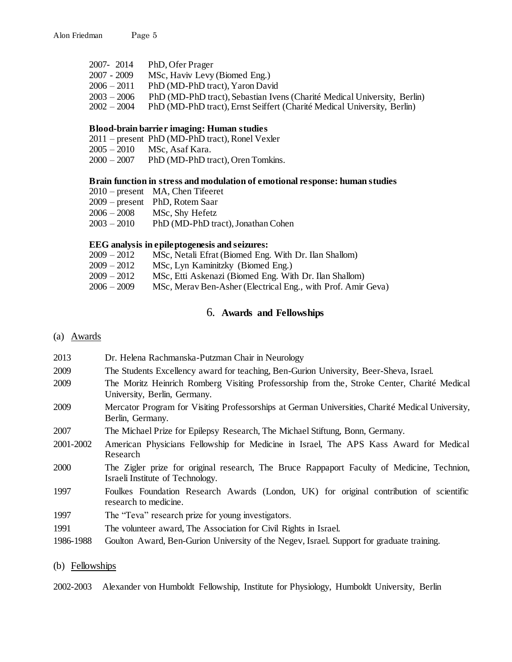| 2007-2014     | PhD, Ofer Prager                                                         |
|---------------|--------------------------------------------------------------------------|
| $2007 - 2009$ | MSc, Haviv Levy (Biomed Eng.)                                            |
| $2006 - 2011$ | PhD (MD-PhD tract), Yaron David                                          |
| $2003 - 2006$ | PhD (MD-PhD tract), Sebastian Ivens (Charité Medical University, Berlin) |
| $2002 - 2004$ | PhD (MD-PhD tract), Ernst Seiffert (Charité Medical University, Berlin)  |

## **Blood-brain barrier imaging: Human studies**

|  | 2011 – present PhD (MD-PhD tract), Ronel Vexler |  |
|--|-------------------------------------------------|--|
|--|-------------------------------------------------|--|

- 2005 2010 MSc, Asaf Kara.
- 2000 2007 PhD (MD-PhD tract), Oren Tomkins.

#### **Brain function in stress and modulation of emotional response: human studies**

| 2010 – present MA, Chen Tifeeret |
|----------------------------------|
| 2009 – present PhD, Rotem Saar   |

- 2006 2008 MSc, Shy Hefetz
- 2003 2010 PhD (MD-PhD tract), Jonathan Cohen

#### **EEG analysis in epileptogenesis and seizures:**

| $2009 - 2012$ | MSc, Netali Efrat (Biomed Eng. With Dr. Ilan Shallom)        |
|---------------|--------------------------------------------------------------|
| $2009 - 2012$ | MSc, Lyn Kaminitzky (Biomed Eng.)                            |
| $2009 - 2012$ | MSc, Etti Askenazi (Biomed Eng. With Dr. Ilan Shallom)       |
| 2006 – 2009   | MSc, Merav Ben-Asher (Electrical Eng., with Prof. Amir Geva) |

## 6. **Awards and Fellowships**

(a) Awards

- 2013 Dr. Helena Rachmanska-Putzman Chair in Neurology 2009 The Students Excellency award for teaching, Ben-Gurion University, Beer-Sheva, Israel. 2009 The Moritz Heinrich Romberg Visiting Professorship from the, Stroke Center, Charité Medical University, Berlin, Germany. 2009 Mercator Program for Visiting Professorships at German Universities, Charité Medical University, Berlin, Germany. 2007 The Michael Prize for Epilepsy Research, The Michael Stiftung, Bonn, Germany. 2001-2002 American Physicians Fellowship for Medicine in Israel, The APS Kass Award for Medical Research 2000 The Zigler prize for original research, The Bruce Rappaport Faculty of Medicine, Technion, Israeli Institute of Technology. 1997 Foulkes Foundation Research Awards (London, UK) for original contribution of scientific research to medicine. 1997 The "Teva" research prize for young investigators.
- 1991 The volunteer award, The Association for Civil Rights in Israel.
- 1986-1988 Goulton Award, Ben-Gurion University of the Negev, Israel. Support for graduate training.

## (b) Fellowships

2002-2003 Alexander von Humboldt Fellowship, Institute for Physiology, Humboldt University, Berlin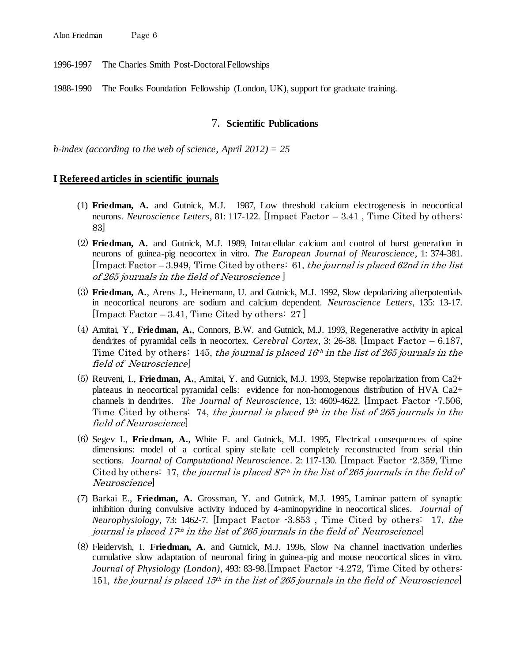1996-1997 The Charles Smith Post-Doctoral Fellowships

1988-1990 The Foulks Foundation Fellowship (London, UK), support for graduate training.

#### 7. **Scientific Publications**

*h-index (according to the web of science, April 2012) = 25*

#### **I Refereed articles in scientific journals**

- (1) **Friedman, A.** and Gutnick, M.J. 1987, Low threshold calcium electrogenesis in neocortical neurons. *Neuroscience Letters*, 81: 117-122. [Impact Factor – 3.41 , Time Cited by others: 83]
- (2) **Friedman, A.** and Gutnick, M.J. 1989, Intracellular calcium and control of burst generation in neurons of guinea-pig neocortex in vitro. *The European Journal of Neuroscience*, 1: 374-381. [Impact Factor – 3.949, Time Cited by others: 61, the journal is placed 62nd in the list of 265 journals in the field of Neuroscience ]
- (3) **Friedman, A.**, Arens J., Heinemann, U. and Gutnick, M.J. 1992, Slow depolarizing afterpotentials in neocortical neurons are sodium and calcium dependent. *Neuroscience Letters*, 135: 13-17. [Impact Factor  $-3.41$ , Time Cited by others: 27]
- (4) Amitai, Y., **Friedman, A.**, Connors, B.W. and Gutnick, M.J. 1993, Regenerative activity in apical dendrites of pyramidal cells in neocortex. *Cerebral Cortex*, 3: 26-38. [Impact Factor – 6.187, Time Cited by others: 145, the journal is placed  $16<sup>th</sup>$  in the list of 265 journals in the field of Neuroscience]
- (5) Reuveni, I., **Friedman, A.**, Amitai, Y. and Gutnick, M.J. 1993, Stepwise repolarization from Ca2+ plateaus in neocortical pyramidal cells: evidence for non-homogenous distribution of HVA Ca2+ channels in dendrites. *The Journal of Neuroscience*, 13: 4609-4622. [Impact Factor -7.506, Time Cited by others: 74, the journal is placed  $9<sup>th</sup>$  in the list of 265 journals in the field of Neuroscience]
- (6) Segev I., **Friedman, A.**, White E. and Gutnick, M.J. 1995, Electrical consequences of spine dimensions: model of a cortical spiny stellate cell completely reconstructed from serial thin sections. *Journal of Computational Neuroscience*. 2: 117-130. [Impact Factor -2.359, Time Cited by others: 17, the journal is placed  $87<sup>th</sup>$  in the list of 265 journals in the field of Neuroscience]
- (7) Barkai E., **Friedman, A.** Grossman, Y. and Gutnick, M.J. 1995, Laminar pattern of synaptic inhibition during convulsive activity induced by 4-aminopyridine in neocortical slices. *Journal of Neurophysiology*, 73: 1462-7. [Impact Factor -3.853 , Time Cited by others: 17, the journal is placed  $17<sup>th</sup>$  in the list of 265 journals in the field of Neuroscience
- (8) Fleidervish, I. **Friedman, A.** and Gutnick, M.J. 1996, Slow Na channel inactivation underlies cumulative slow adaptation of neuronal firing in guinea-pig and mouse neocortical slices in vitro. *Journal of Physiology (London)*, 493: 83-98.[Impact Factor -4.272, Time Cited by others: 151, the journal is placed  $15<sup>th</sup>$  in the list of 265 journals in the field of Neuroscience]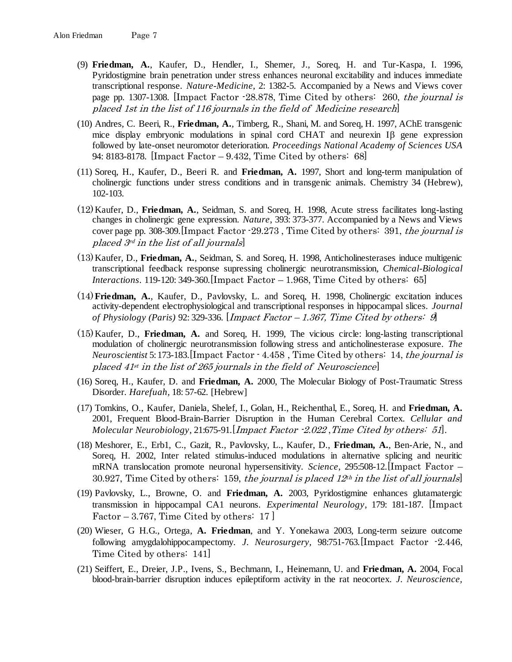- (9) **Friedman, A.**, Kaufer, D., Hendler, I., Shemer, J., Soreq, H. and Tur-Kaspa, I. 1996, Pyridostigmine brain penetration under stress enhances neuronal excitability and induces immediate transcriptional response. *Nature-Medicine*, 2: 1382-5. Accompanied by a News and Views cover page pp. 1307-1308. [Impact Factor -28.878, Time Cited by others: 260, the journal is placed 1st in the list of 116 journals in the field of Medicine research]
- (10) Andres, C. Beeri, R., **Friedman, A.**, Timberg, R., Shani, M. and Soreq, H. 1997, AChE transgenic mice display embryonic modulations in spinal cord CHAT and neurexin  $\text{I}\beta$  gene expression followed by late-onset neuromotor deterioration. *Proceedings National Academy of Sciences USA* 94: 8183-8178. [Impact Factor – 9.432, Time Cited by others: 68]
- (11) Soreq, H., Kaufer, D., Beeri R. and **Friedman, A.** 1997, Short and long-term manipulation of cholinergic functions under stress conditions and in transgenic animals. Chemistry 34 (Hebrew), 102-103.
- (12)Kaufer, D., **Friedman, A.**, Seidman, S. and Soreq, H. 1998, Acute stress facilitates long-lasting changes in cholinergic gene expression. *Nature*, 393: 373-377. Accompanied by a News and Views cover page pp. 308-309. [Impact Factor  $-29.273$ , Time Cited by others: 391, the journal is placed 3rd in the list of all journals]
- (13)Kaufer, D., **Friedman, A.**, Seidman, S. and Soreq, H. 1998, Anticholinesterases induce multigenic transcriptional feedback response supressing cholinergic neurotransmission, *Chemical-Biological Interactions*. 119-120: 349-360.[Impact Factor – 1.968, Time Cited by others: 65]
- (14)**Friedman, A.**, Kaufer, D., Pavlovsky, L. and Soreq, H. 1998, Cholinergic excitation induces activity-dependent electrophysiological and transcriptional responses in hippocampal slices. *Journal of Physiology (Paris)* 92: 329-336. [Impact Factor – 1.367, Time Cited by others: 9]
- (15)Kaufer, D., **Friedman, A.** and Soreq, H. 1999, The vicious circle: long-lasting transcriptional modulation of cholinergic neurotransmission following stress and anticholinesterase exposure. *The Neuroscientist* 5: 173-183.[Impact Factor - 4.458 , Time Cited by others: 14, the journal is placed  $41^{st}$  in the list of 265 journals in the field of Neuroscience]
- (16) Soreq, H., Kaufer, D. and **Friedman, A.** 2000, The Molecular Biology of Post-Traumatic Stress Disorder. *Harefuah*, 18: 57-62. [Hebrew]
- (17) Tomkins, O., Kaufer, Daniela, Shelef, I., Golan, H., Reichenthal, E., Soreq, H. and **Friedman, A.** 2001, Frequent Blood-Brain-Barrier Disruption in the Human Cerebral Cortex. *Cellular and Molecular Neurobiology*, 21:675-91.[Impact Factor -2.022 ,Time Cited by others: 51].
- (18) Meshorer, E., Erb1, C., Gazit, R., Pavlovsky, L., Kaufer, D., **Friedman, A.**, Ben-Arie, N., and Soreq, H. 2002, Inter related stimulus-induced modulations in alternative splicing and neuritic mRNA translocation promote neuronal hypersensitivity. *Science*, 295:508-12.[Impact Factor – 30.927, Time Cited by others: 159, the journal is placed  $12<sup>th</sup>$  in the list of all journals
- (19) Pavlovsky, L., Browne, O. and **Friedman, A.** 2003, Pyridostigmine enhances glutamatergic transmission in hippocampal CA1 neurons. *Experimental Neurology*, 179: 181-187. [Impact Factor – 3.767, Time Cited by others:  $17$ ]
- (20) Wieser, G H.G., Ortega, **A. Friedman**, and Y. Yonekawa 2003, Long-term seizure outcome following amygdalohippocampectomy. *J. Neurosurgery,* 98:751-763*.*[Impact Factor -2.446, Time Cited by others: 141]
- (21) Seiffert, E., Dreier, J.P., Ivens, S., Bechmann, I., Heinemann, U. and **Friedman, A.** 2004, Focal blood-brain-barrier disruption induces epileptiform activity in the rat neocortex. *J. Neuroscience,*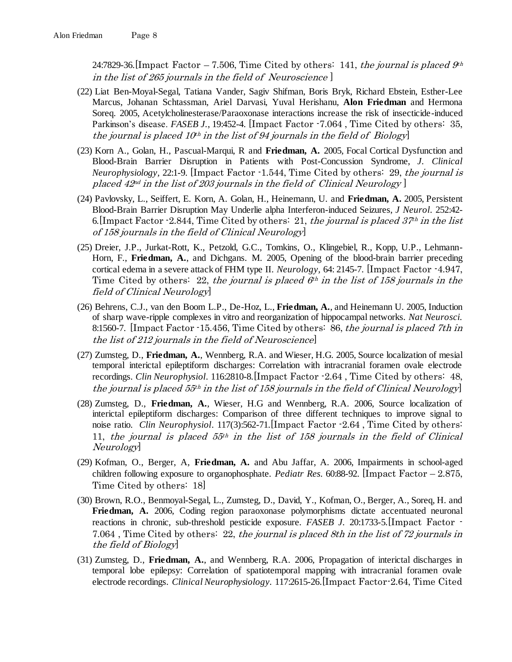24:7829-36. [Impact Factor – 7.506, Time Cited by others: 141, the journal is placed  $\mathcal{G}^{\mu}$ in the list of 265 journals in the field of Neuroscience ]

- (22) Liat Ben-Moyal-Segal, Tatiana Vander, Sagiv Shifman, Boris Bryk, Richard Ebstein, Esther-Lee Marcus, Johanan Schtassman, Ariel Darvasi, Yuval Herishanu, **Alon Friedman** and Hermona Soreq. 2005, Acetylcholinesterase/Paraoxonase interactions increase the risk of insecticide-induced Parkinson's disease. *FASEB J.*, 19:452-4. [Impact Factor -7.064, Time Cited by others: 35, the journal is placed  $10<sup>th</sup>$  in the list of 94 journals in the field of Biology
- (23) Korn A., Golan, H., Pascual-Marqui, R and **Friedman, A.** 2005, Focal Cortical Dysfunction and Blood-Brain Barrier Disruption in Patients with Post-Concussion Syndrome, *J. Clinical Neurophysiology,* 22:1-9. [Impact Factor -1.544, Time Cited by others: 29, the journal is placed  $42<sup>nd</sup>$  in the list of 203 journals in the field of Clinical Neurology ]
- (24) Pavlovsky, L., Seiffert, E. Korn, A. Golan, H., Heinemann, U. and **Friedman, A.** 2005, Persistent Blood-Brain Barrier Disruption May Underlie alpha Interferon-induced Seizures, *J Neurol*. 252:42- 6. [Impact Factor  $-2.844$ , Time Cited by others: 21, the journal is placed  $37<sup>th</sup>$  in the list of 158 journals in the field of Clinical Neurology]
- (25) Dreier, J.P., Jurkat-Rott, K., Petzold, G.C., Tomkins, O., Klingebiel, R., Kopp, U.P., Lehmann-Horn, F., **Friedman, A.**, and Dichgans. M. 2005, Opening of the blood-brain barrier preceding cortical edema in a severe attack of FHM type II. *Neurology,* 64: 2145-7. [Impact Factor -4.947, Time Cited by others: 22, the journal is placed  $6<sup>th</sup>$  in the list of 158 journals in the field of Clinical Neurology]
- (26) Behrens, C.J., van den Boom L.P., De-Hoz, L., **Friedman, A.**, and Heinemann U. 2005, Induction of sharp wave-ripple complexes in vitro and reorganization of hippocampal networks. *Nat Neurosci.* 8:1560-7. [Impact Factor -15.456, Time Cited by others: 86, the journal is placed 7th in the list of 212 journals in the field of Neuroscience]
- (27) Zumsteg, D., **Friedman, A.**, Wennberg, R.A. and Wieser, H.G. 2005, Source localization of mesial temporal interictal epileptiform discharges: Correlation with intracranial foramen ovale electrode recordings. *Clin Neurophysiol*. 116:2810-8.[Impact Factor -2.64 , Time Cited by others: 48, the journal is placed 55<sup>th</sup> in the list of 158 journals in the field of Clinical Neurology
- (28) Zumsteg, D., **Friedman, A.**, Wieser, H.G and Wennberg, R.A. 2006, Source localization of interictal epileptiform discharges: Comparison of three different techniques to improve signal to noise ratio. *Clin Neurophysiol*. 117(3):562-71.[Impact Factor -2.64 , Time Cited by others: 11, the journal is placed  $55<sup>th</sup>$  in the list of 158 journals in the field of Clinical Neurology]
- (29) Kofman, O., Berger, A, **Friedman, A.** and Abu Jaffar, A. 2006, Impairments in school-aged children following exposure to organophosphate. *Pediatr Res.* 60:88-92. [Impact Factor – 2.875, Time Cited by others: 18]
- (30) Brown, R.O., Benmoyal-Segal, L., Zumsteg, D., David, Y., Kofman, O., Berger, A., Soreq, H. and **Friedman, A.** 2006, Coding region paraoxonase polymorphisms dictate accentuated neuronal reactions in chronic, sub-threshold pesticide exposure. *FASEB J.* 20:1733-5.[Impact Factor - 7.064 , Time Cited by others: 22, the journal is placed 8th in the list of 72 journals in the field of Biology]
- (31) Zumsteg, D., **Friedman, A.**, and Wennberg, R.A. 2006, Propagation of interictal discharges in temporal lobe epilepsy: Correlation of spatiotemporal mapping with intracranial foramen ovale electrode recordings. *Clinical Neurophysiology.* 117:2615-26.[Impact Factor-2.64, Time Cited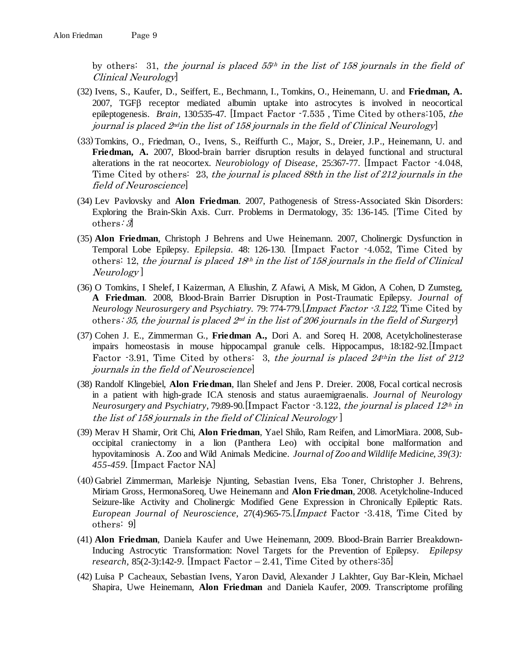by others: 31, the journal is placed  $55<sup>th</sup>$  in the list of 158 journals in the field of Clinical Neurology]

- (32) Ivens, S., Kaufer, D., Seiffert, E., Bechmann, I., Tomkins, O., Heinemann, U. and **Friedman, A.**  $2007$ , TGF $\beta$  receptor mediated albumin uptake into astrocytes is involved in neocortical epileptogenesis. *Brain,* 130:535-47. [Impact Factor -7.535 , Time Cited by others:105, the journal is placed 2ndin the list of 158 journals in the field of Clinical Neurology]
- (33)Tomkins, O., Friedman, O., Ivens, S., Reiffurth C., Major, S., Dreier, J.P., Heinemann, U. and **Friedman, A.** 2007, Blood-brain barrier disruption results in delayed functional and structural alterations in the rat neocortex. *Neurobiology of Disease,* 25:367-77. [Impact Factor -4.048, Time Cited by others: 23, the journal is placed 88th in the list of 212 journals in the field of Neuroscience]
- (34) Lev Pavlovsky and **Alon Friedman**. 2007, Pathogenesis of Stress-Associated Skin Disorders: Exploring the Brain-Skin Axis. Curr. Problems in Dermatology, 35: 136-145. [Time Cited by others:  $3$
- (35) **Alon Friedman**, Christoph J Behrens and Uwe Heinemann. 2007, Cholinergic Dysfunction in Temporal Lobe Epilepsy. *Epilepsia.* 48: 126-130*.* [Impact Factor -4.052, Time Cited by others: 12, the journal is placed  $18<sup>th</sup>$  in the list of 158 journals in the field of Clinical Neurology ]
- (36) O Tomkins, I Shelef, I Kaizerman, A Eliushin, Z Afawi, A Misk, M Gidon, A Cohen, D Zumsteg, **A Friedman**. 2008, Blood-Brain Barrier Disruption in Post-Traumatic Epilepsy. *Journal of Neurology Neurosurgery and Psychiatry.* 79: 774-779*.*[Impact Factor -3.122, Time Cited by others: 35, the journal is placed  $2^{nd}$  in the list of 206 journals in the field of Surgery
- (37) Cohen J. E., Zimmerman G., **Friedman A.,** Dori A. and Soreq H. 2008, Acetylcholinesterase impairs homeostasis in mouse hippocampal granule cells. Hippocampus, 18:182-92.[Impact Factor  $-3.91$ , Time Cited by others: 3, the journal is placed 24<sup>th</sup>in the list of 212 journals in the field of Neuroscience]
- (38) Randolf Klingebiel, **Alon Friedman**, Ilan Shelef and Jens P. Dreier. 2008, Focal cortical necrosis in a patient with high-grade ICA stenosis and status auraemigraenalis. *Journal of Neurology Neurosurgery and Psychiatry, 79:89-90.*[Impact Factor -3.122, the journal is placed 12<sup>th</sup> in the list of 158 journals in the field of Clinical Neurology ]
- (39) Merav H Shamir, Orit Chi, **Alon Friedman**, Yael Shilo, Ram Reifen, and LimorMiara. 2008, Suboccipital craniectomy in a lion (Panthera Leo) with occipital bone malformation and hypovitaminosis A. Zoo and Wild Animals Medicine. *Journal of Zoo and Wildlife Medicine, 39(3): 455-459.* [Impact Factor NA]
- (40)Gabriel Zimmerman, Marleisje Njunting, Sebastian Ivens, Elsa Toner, Christopher J. Behrens, Miriam Gross, HermonaSoreq, Uwe Heinemann and **Alon Friedman**, 2008. Acetylcholine-Induced Seizure-like Activity and Cholinergic Modified Gene Expression in Chronically Epileptic Rats. *European Journal of Neuroscience,* 27(4):965-75.[Impact Factor -3.418, Time Cited by others: 9]
- (41) **Alon Friedman**, Daniela Kaufer and Uwe Heinemann, 2009. Blood-Brain Barrier Breakdown-Inducing Astrocytic Transformation: Novel Targets for the Prevention of Epilepsy. *Epilepsy research,* 85(2-3):142-*9.* [Impact Factor – 2.41, Time Cited by others:35]
- (42) Luisa P Cacheaux, Sebastian Ivens, Yaron David, Alexander J Lakhter, Guy Bar-Klein, Michael Shapira, Uwe Heinemann, **Alon Friedman** and Daniela Kaufer, 2009. Transcriptome profiling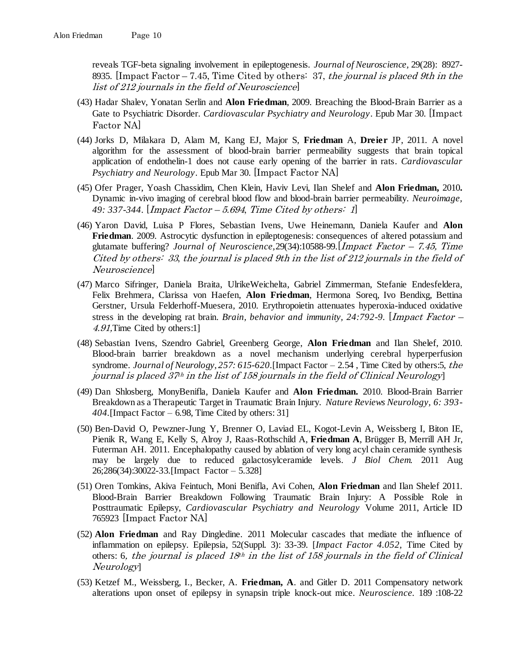reveals TGF-beta signaling involvement in epileptogenesis. *Journal of Neuroscience,* 29(28): 8927- 8935. [Impact Factor – 7.45, Time Cited by others: 37, the journal is placed 9th in the list of 212 journals in the field of Neuroscience]

- (43) Hadar Shalev, Yonatan Serlin and **Alon Friedman**, 2009. Breaching the Blood-Brain Barrier as a Gate to Psychiatric Disorder. *Cardiovascular Psychiatry and Neurology*. Epub Mar 30. [Impact Factor NA]
- (44) Jorks D, Milakara D, Alam M, Kang EJ, Major S, **Friedman** A, **Dreier** JP, 2011. A novel algorithm for the assessment of blood-brain barrier permeability suggests that brain topical application of endothelin-1 does not cause early opening of the barrier in rats. *Cardiovascular Psychiatry and Neurology*. Epub Mar 30. [Impact Factor NA]
- (45) Ofer Prager, Yoash Chassidim, Chen Klein, Haviv Levi, Ilan Shelef and **Alon Friedman,** 2010**.**  Dynamic in-vivo imaging of cerebral blood flow and blood-brain barrier permeability. *Neuroimage, 49: 337-344*. [Impact Factor – 5.694, Time Cited by others: 1]
- (46) Yaron David, Luisa P Flores, Sebastian Ivens, Uwe Heinemann, Daniela Kaufer and **Alon Friedman**. 2009. Astrocytic dysfunction in epileptogenesis: consequences of altered potassium and glutamate buffering? *Journal of Neuroscience,*29(34):10588-99.[Impact Factor – 7.45, Time Cited by others: 33, the journal is placed 9th in the list of 212 journals in the field of Neuroscience]
- (47) Marco Sifringer, Daniela Braita, UlrikeWeichelta, Gabriel Zimmerman, Stefanie Endesfeldera, Felix Brehmera, Clarissa von Haefen, **Alon Friedman**, Hermona Soreq, Ivo Bendixg, Bettina Gerstner, Ursula Felderhoff-Muesera, 2010. Erythropoietin attenuates hyperoxia-induced oxidative stress in the developing rat brain. *Brain, behavior and immunity, 24:792-9.* [Impact Factor – 4.91,Time Cited by others:1]
- (48) Sebastian Ivens, Szendro Gabriel, Greenberg George, **Alon Friedman** and Ilan Shelef, 2010. Blood-brain barrier breakdown as a novel mechanism underlying cerebral hyperperfusion syndrome. *Journal of Neurology, 257: 615-620.*[Impact Factor – 2.54 , Time Cited by others:5, the journal is placed 37<sup>th</sup> in the list of 158 journals in the field of Clinical Neurology]
- (49) Dan Shlosberg, MonyBenifla, Daniela Kaufer and **Alon Friedman.** 2010. Blood-Brain Barrier Breakdown as a Therapeutic Target in Traumatic Brain Injury. *Nature Reviews Neurology, 6: 393- 404.*[Impact Factor – 6.98, Time Cited by others: 31]
- (50) Ben-David O, Pewzner-Jung Y, Brenner O, Laviad EL, Kogot-Levin A, Weissberg I, Biton IE, Pienik R, Wang E, Kelly S, Alroy J, Raas-Rothschild A, **Friedman A**, Brügger B, Merrill AH Jr, Futerman AH. 2011. Encephalopathy caused by ablation of very long acyl chain ceramide synthesis may be largely due to reduced galactosylceramide levels. *J Biol Chem.* 2011 Aug 26;286(34):30022-33.[Impact Factor – 5.328]
- (51) Oren Tomkins, Akiva Feintuch, Moni Benifla, Avi Cohen, **Alon Friedman** and Ilan Shelef 2011. Blood-Brain Barrier Breakdown Following Traumatic Brain Injury: A Possible Role in Posttraumatic Epilepsy, *Cardiovascular Psychiatry and Neurology* Volume 2011, Article ID 765923 [Impact Factor NA]
- (52) **Alon Friedman** and Ray Dingledine. 2011 Molecular cascades that mediate the influence of inflammation on epilepsy. Epilepsia, 52(Suppl. 3): 33-39. [*Impact Factor 4.052,* Time Cited by others: 6, the journal is placed  $18<sup>th</sup>$  in the list of 158 journals in the field of Clinical Neurology]
- (53) Ketzef M., Weissberg, I., Becker, A. **Friedman, A**. and Gitler D. 2011 Compensatory network alterations upon onset of epilepsy in synapsin triple knock-out mice. *Neuroscience.* 189 :108-22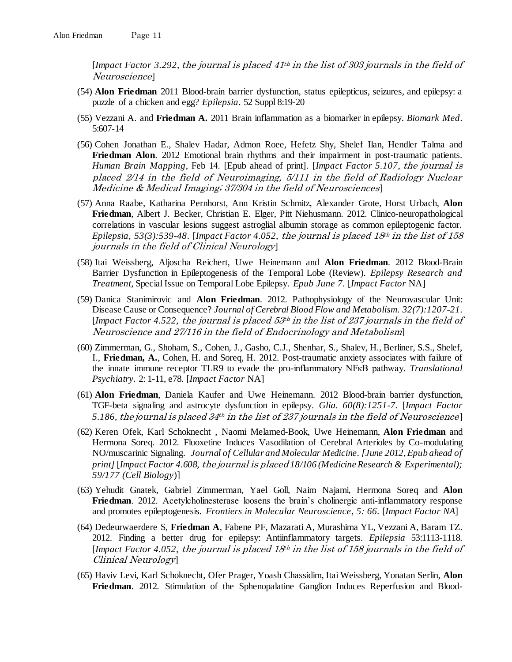[*Impact Factor 3.292*, the journal is placed 41th in the list of 303 journals in the field of Neuroscience]

- (54) **Alon Friedman** 2011 Blood-brain barrier dysfunction, status epilepticus, seizures, and epilepsy: a puzzle of a chicken and egg? *Epilepsia*. 52 Suppl 8:19-20
- (55) Vezzani A. and **Friedman A.** 2011 Brain inflammation as a biomarker in epilepsy. *Biomark Med*. 5:607-14
- (56) Cohen Jonathan E., Shalev Hadar, Admon Roee, Hefetz Shy, Shelef Ilan, Hendler Talma and **Friedman Alon**. 2012 Emotional brain rhythms and their impairment in post-traumatic patients. *Human Brain Mapping*, Feb 14. [Epub ahead of print]. [*Impact Factor 5.107*, the journal is placed 2/14 in the field of Neuroimaging, 5/111 in the field of Radiology Nuclear Medicine & Medical Imaging; 37/304 in the field of Neurosciences]
- (57) Anna Raabe, Katharina Pernhorst, Ann Kristin Schmitz, Alexander Grote, Horst Urbach, **Alon Friedman**, Albert J. Becker, Christian E. Elger, Pitt Niehusmann. 2012. Clinico-neuropathological correlations in vascular lesions suggest astroglial albumin storage as common epileptogenic factor. *Epilepsia, 53(3):539-48*. [*Impact Factor 4.052,* the journal is placed 18th in the list of 158 journals in the field of Clinical Neurology]
- (58) Itai Weissberg, Aljoscha Reichert, Uwe Heinemann and **Alon Friedman**. 2012 Blood-Brain Barrier Dysfunction in Epileptogenesis of the Temporal Lobe (Review). *Epilepsy Research and Treatment*, Special Issue on Temporal Lobe Epilepsy. *Epub June 7.* [*Impact Factor* NA]
- (59) Danica Stanimirovic and **Alon Friedman**. 2012. Pathophysiology of the Neurovascular Unit: Disease Cause or Consequence? *Journal of Cerebral Blood Flow and Metabolism*. *32(7):1207-21*. [*Impact Factor 4.522,* the journal is placed 53th in the list of 237 journals in the field of Neuroscience and 27/116 in the field of Endocrinology and Metabolism]
- (60) Zimmerman, G., Shoham, S., Cohen, J., Gasho, C.J., Shenhar, S., Shalev, H., Berliner, S.S., Shelef, I., **Friedman, A.**, Cohen, H. and Soreq, H. 2012. Post-traumatic anxiety associates with failure of the innate immune receptor TLR9 to evade the pro-inflammatory NFκB pathway. *Translational Psychiatry.* 2: 1-11, e78. [*Impact Factor* NA]
- (61) **Alon Friedman**, Daniela Kaufer and Uwe Heinemann. 2012 Blood-brain barrier dysfunction, TGF-beta signaling and astrocyte dysfunction in epilepsy. *Glia. 60(8):1251-7.* [*Impact Factor*  5.186, the journal is placed  $34<sup>th</sup>$  in the list of 237 journals in the field of Neuroscience
- (62) Keren Ofek, Karl Schoknecht , Naomi Melamed-Book, Uwe Heinemann, **Alon Friedman** and Hermona Soreq. 2012. Fluoxetine Induces Vasodilation of Cerebral Arterioles by Co-modulating NO/muscarinic Signaling. *Journal of Cellular and Molecular Medicine. [June 2012, Epub ahead of print]* [*Impact Factor 4.608,* the journal is placed *18/106 (Medicine Research & Experimental); 59/177 (Cell Biology*)]
- (63) Yehudit Gnatek, Gabriel Zimmerman, Yael Goll, Naim Najami, Hermona Soreq and **Alon Friedman**. 2012. Acetylcholinesterase loosens the brain's cholinergic anti-inflammatory response and promotes epileptogenesis. *Frontiers in Molecular Neuroscience, 5: 66.* [*Impact Factor NA*]
- (64) Dedeurwaerdere S, **Friedman A**, Fabene PF, Mazarati A, Murashima YL, Vezzani A, Baram TZ. 2012. Finding a better drug for epilepsy: Antiinflammatory targets. *Epilepsia* 53:1113-1118. [*Impact Factor 4.052,* the journal is placed 18th in the list of 158 journals in the field of Clinical Neurology]
- (65) Haviv Levi, Karl Schoknecht, Ofer Prager, Yoash Chassidim, Itai Weissberg, Yonatan Serlin, **Alon Friedman**. 2012. Stimulation of the Sphenopalatine Ganglion Induces Reperfusion and Blood-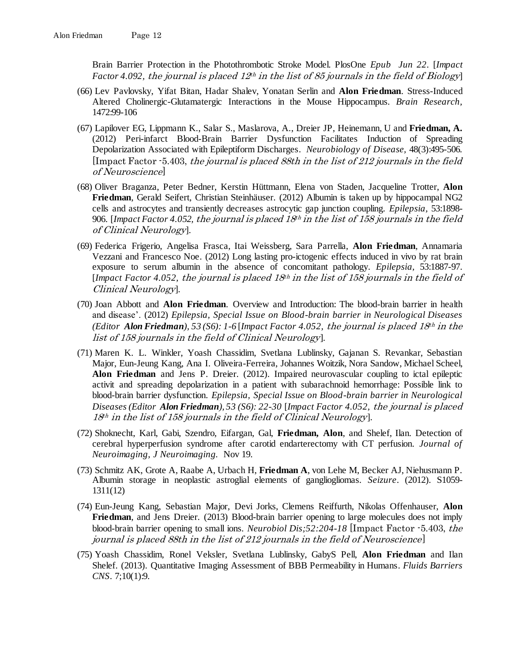Brain Barrier Protection in the Photothrombotic Stroke Model. PlosOne *Epub Jun 22.* [*Impact Factor 4.092, the journal is placed*  $12<sup>th</sup>$  *in the list of 85 journals in the field of Biology* 

- (66) Lev Pavlovsky, Yifat Bitan, Hadar Shalev, Yonatan Serlin and **Alon Friedman**. Stress-Induced Altered Cholinergic-Glutamatergic Interactions in the Mouse Hippocampus. *Brain Research,* 1472:99-106
- (67) Lapilover EG, Lippmann K., Salar S., Maslarova, A., Dreier JP, Heinemann, U and **Friedman, A.** (2012) Peri-infarct Blood-Brain Barrier Dysfunction Facilitates Induction of Spreading Depolarization Associated with Epileptiform Discharges. *Neurobiology of Disease,* 48(3):495-506*.*  [Impact Factor -5.403, the journal is placed 88th in the list of 212 journals in the field of Neuroscience]
- (68) Oliver Braganza, Peter Bedner, Kerstin Hüttmann, Elena von Staden, Jacqueline Trotter, **Alon Friedman**, Gerald Seifert, Christian Steinhäuser. (2012) Albumin is taken up by hippocampal NG2 cells and astrocytes and transiently decreases astrocytic gap junction coupling. *Epilepsia,* 53:1898- 906. [*Impact Factor 4.052,* the journal is placed 18th in the list of 158 journals in the field of Clinical Neurology]*.*
- (69) Federica Frigerio, Angelisa Frasca, Itai Weissberg, Sara Parrella, **Alon Friedman**, Annamaria Vezzani and Francesco Noe. (2012) Long lasting pro-ictogenic effects induced in vivo by rat brain exposure to serum albumin in the absence of concomitant pathology. *Epilepsia,* 53:1887-97. [*Impact Factor 4.052,* the journal is placed 18th in the list of 158 journals in the field of Clinical Neurology]*.*
- (70) Joan Abbott and **Alon Friedman**. Overview and Introduction: The blood-brain barrier in health and disease'. (2012) *Epilepsia, Special Issue on Blood-brain barrier in Neurological Diseases (Editor Alon Friedman), 53 (S6): 1-6* [*Impact Factor 4.052,* the journal is placed 18th in the list of 158 journals in the field of Clinical Neurology]*.*
- (71) Maren K. L. Winkler, Yoash Chassidim, Svetlana Lublinsky, Gajanan S. Revankar, Sebastian Major, Eun-Jeung Kang, Ana I. Oliveira-Ferreira, Johannes Woitzik, Nora Sandow, Michael Scheel, **Alon Friedman** and Jens P. Dreier. (2012). Impaired neurovascular coupling to ictal epileptic activit and spreading depolarization in a patient with subarachnoid hemorrhage: Possible link to blood-brain barrier dysfunction. *Epilepsia, Special Issue on Blood-brain barrier in Neurological Diseases (Editor Alon Friedman), 53 (S6): 22-30* [*Impact Factor 4.052,* the journal is placed 18th in the list of 158 journals in the field of Clinical Neurology]*.*
- (72) Shoknecht, Karl, Gabi, Szendro, Eifargan, Gal, **Friedman, Alon**, and Shelef, Ilan. Detection of cerebral hyperperfusion syndrome after carotid endarterectomy with CT perfusion. *Journal of Neuroimaging, J Neuroimaging.* Nov 19.
- (73) Schmitz AK, Grote A, Raabe A, Urbach H, **Friedman A**, von Lehe M, Becker AJ, Niehusmann P. Albumin storage in neoplastic astroglial elements of gangliogliomas. *Seizure*. (2012). S1059- 1311(12)
- (74) Eun-Jeung Kang, Sebastian Major, Devi Jorks, Clemens Reiffurth, Nikolas Offenhauser, **Alon Friedman**, and Jens Dreier. (2013) Blood-brain barrier opening to large molecules does not imply blood-brain barrier opening to small ions. *Neurobiol Dis;52:204-18* [Impact Factor -5.403, the journal is placed 88th in the list of 212 journals in the field of Neuroscience]
- (75) Yoash Chassidim, Ronel Veksler, Svetlana Lublinsky, GabyS Pell, **Alon Friedman** and Ilan Shelef. (2013). Quantitative Imaging Assessment of BBB Permeability in Humans. *Fluids Barriers CNS*. 7;10(1):9.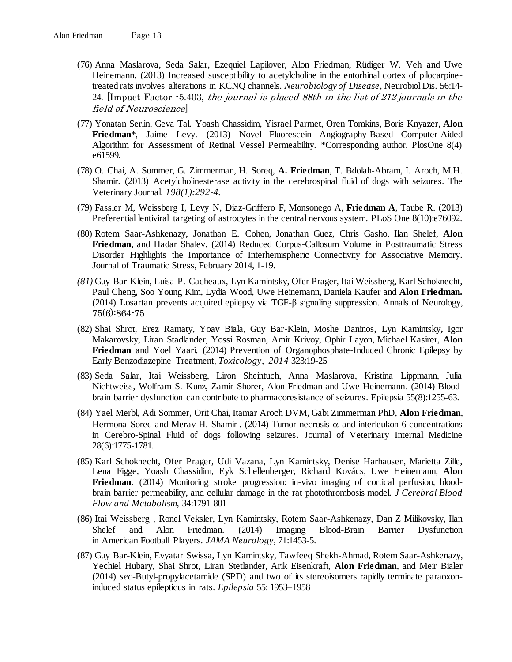- (76) Anna Maslarova, Seda Salar, Ezequiel Lapilover, Alon Friedman, Rüdiger W. Veh and Uwe Heinemann. (2013) Increased susceptibility to acetylcholine in the entorhinal cortex of pilocarpinetreated rats involves alterations in KCNQ channels. *Neurobiology of Disease*, Neurobiol Dis. 56:14- 24. [Impact Factor -5.403, the journal is placed 88th in the list of 212 journals in the field of Neuroscience]
- (77) Yonatan Serlin, Geva Tal. Yoash Chassidim, Yisrael Parmet, Oren Tomkins, Boris Knyazer, **Alon Friedman**\*, Jaime Levy. (2013) Novel Fluorescein Angiography-Based Computer-Aided Algorithm for Assessment of Retinal Vessel Permeability. \*Corresponding author. PlosOne 8(4) e61599*.*
- (78) O. Chai, A. Sommer, G. Zimmerman, H. Soreq, **A. Friedman**, T. Bdolah-Abram, I. Aroch, M.H. Shamir. (2013) Acetylcholinesterase activity in the cerebrospinal fluid of dogs with seizures. The Veterinary Journal. *198(1):292-4.*
- (79) Fassler M, Weissberg I, Levy N, Diaz-Griffero F, Monsonego A, **Friedman A**, Taube R. (2013) [Preferential lentiviral targeting of astrocytes in the central nervous system.](http://www.ncbi.nlm.nih.gov/pubmed/24098426) PLoS One 8(10):e76092.
- (80) Rotem Saar-Ashkenazy, Jonathan E. Cohen, Jonathan Guez, Chris Gasho, Ilan Shelef, **Alon Friedman**, and Hadar Shalev. (2014) Reduced Corpus-Callosum Volume in Posttraumatic Stress Disorder Highlights the Importance of Interhemispheric Connectivity for Associative Memory. Journal of Traumatic Stress, February 2014, 1-19.
- *(81)* Guy Bar-Klein, Luisa P. Cacheaux, Lyn Kamintsky, Ofer Prager, Itai Weissberg, Karl Schoknecht, Paul Cheng, Soo Young Kim, Lydia Wood, Uwe Heinemann, Daniela Kaufer and **Alon Friedman.** (2014) [Losartan prevents acquired epilepsy via TGF-β signaling suppression.](http://onlinelibrary.wiley.com/doi/10.1002/ana.24147/abstract) Annals of Neurology, 75(6):864-75
- (82) Shai Shrot, Erez Ramaty, Yoav Biala, Guy Bar-Klein, Moshe Daninos**,** Lyn Kamintsky**,** Igor Makarovsky, Liran Stadlander, Yossi Rosman, Amir Krivoy, Ophir Layon, Michael Kasirer, **Alon Friedman** and Yoel Yaari. (2014) Prevention of Organophosphate-Induced Chronic Epilepsy by Early Benzodiazepine Treatment, *Toxicology*, *2014* 323:19-25
- (83) Seda Salar, Itai Weissberg, Liron Sheintuch, Anna Maslarova, Kristina Lippmann, Julia Nichtweiss, Wolfram S. Kunz, Zamir Shorer, Alon Friedman and Uwe Heinemann. (2014) Bloodbrain barrier dysfunction can contribute to pharmacoresistance of seizures. Epilepsia 55(8):1255-63.
- (84) Yael Merbl, Adi Sommer, Orit Chai, Itamar Aroch DVM, Gabi Zimmerman PhD, **Alon Friedman**, Hermona Soreq and Merav H. Shamir . (2014) Tumor necrosis- $\alpha$  and interleukon-6 concentrations in Cerebro-Spinal Fluid of dogs following seizures. Journal of Veterinary Internal Medicine 28(6):1775-1781*.*
- (85) Karl Schoknecht, Ofer Prager, Udi Vazana, Lyn Kamintsky, Denise Harhausen, Marietta Zille, Lena Figge, Yoash Chassidim, Eyk Schellenberger, Richard Kovács, Uwe Heinemann, **Alon Friedman**. (2014) Monitoring stroke progression: in-vivo imaging of cortical perfusion, bloodbrain barrier permeability, and cellular damage in the rat photothrombosis model. *J Cerebral Blood Flow and Metabolism,* 34:1791-801
- (86) Itai Weissberg , Ronel Veksler, Lyn Kamintsky, Rotem Saar-Ashkenazy, Dan Z Milikovsky, Ilan Shelef and Alon Friedman. (2014) Imaging Blood-Brain Barrier Dysfunction in American Football Players. *JAMA Neurology*, 71:1453-5.
- (87) Guy Bar-Klein, Evyatar Swissa, Lyn Kamintsky, Tawfeeq Shekh-Ahmad, Rotem Saar-Ashkenazy, Yechiel Hubary, Shai Shrot, Liran Stetlander, Arik Eisenkraft, **Alon Friedman**, and Meir Bialer (2014) *sec-*Butyl-propylacetamide (SPD) and two of its stereoisomers rapidly terminate paraoxoninduced status epilepticus in rats. *Epilepsia* 55: 1953–1958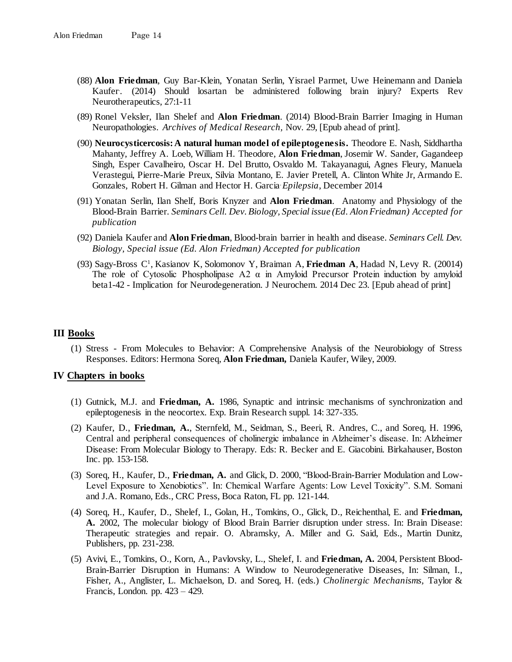- (88) **Alon Friedman**, Guy Bar-Klein, Yonatan Serlin, Yisrael Parmet, Uwe Heinemann and Daniela Kaufer. . (2014) Should losartan be administered following brain injury? Experts Rev Neurotherapeutics, 27:1-11
- (89) Ronel Veksler, Ilan Shelef and **Alon Friedman**. (2014) Blood-Brain Barrier Imaging in Human Neuropathologies. *Archives of Medical Research,* Nov. 29, [Epub ahead of print]*.*
- (90) **Neurocysticercosis: A natural human model of epileptogenesis.** Theodore E. Nash, Siddhartha Mahanty, Jeffrey A. Loeb, William H. Theodore, **Alon Friedman**, Josemir W. Sander, Gagandeep Singh, Esper Cavalheiro, Oscar H. Del Brutto, Osvaldo M. Takayanagui, Agnes Fleury, Manuela Verastegui, Pierre-Marie Preux, Silvia Montano, E. Javier Pretell, A. Clinton White Jr, Armando E. Gonzales, Robert H. Gilman and Hector H. Garcia. *Epilepsia*, December 2014
- (91) Yonatan Serlin, Ilan Shelf, Boris Knyzer and **Alon Friedman**. Anatomy and Physiology of the Blood-Brain Barrier. *Seminars Cell. Dev. Biology, Special issue (Ed. Alon Friedman) Accepted for publication*
- (92) Daniela Kaufer and **Alon Friedman**, Blood-brain barrier in health and disease. *Seminars Cell. Dev. Biology, Special issue (Ed. Alon Friedman) Accepted for publication*
- (93) [Sagy-Bross C](http://www.ncbi.nlm.nih.gov/pubmed/?term=Sagy-Bross%20C%5BAuthor%5D&cauthor=true&cauthor_uid=25533654)<sup>1</sup> , [Kasianov K,](http://www.ncbi.nlm.nih.gov/pubmed/?term=Kasianov%20K%5BAuthor%5D&cauthor=true&cauthor_uid=25533654) [Solomonov Y,](http://www.ncbi.nlm.nih.gov/pubmed/?term=Solomonov%20Y%5BAuthor%5D&cauthor=true&cauthor_uid=25533654) [Braiman A,](http://www.ncbi.nlm.nih.gov/pubmed/?term=Braiman%20A%5BAuthor%5D&cauthor=true&cauthor_uid=25533654) **[Friedman A](http://www.ncbi.nlm.nih.gov/pubmed/?term=Friedman%20A%5BAuthor%5D&cauthor=true&cauthor_uid=25533654)**, [Hadad N,](http://www.ncbi.nlm.nih.gov/pubmed/?term=Hadad%20N%5BAuthor%5D&cauthor=true&cauthor_uid=25533654) [Levy R.](http://www.ncbi.nlm.nih.gov/pubmed/?term=Levy%20R%5BAuthor%5D&cauthor=true&cauthor_uid=25533654) (20014) The role of Cytosolic Phospholipase A2  $\alpha$  in Amyloid Precursor Protein induction by amyloid beta1-42 - Implication for Neurodegeneration. [J Neurochem.](http://www.ncbi.nlm.nih.gov/pubmed/?term=he+role+of+Cytosolic+Phospholipase+A2%CE%B1+in+Amyloid+Precursor+Protein+induction+by+amyloid+beta1-42+-+Implication+for+Neurodegeneration) 2014 Dec 23. [Epub ahead of print]

## **III Books**

(1) Stress - From Molecules to Behavior: A Comprehensive Analysis of the Neurobiology of Stress Responses. Editors: Hermona Soreq, **Alon Friedman,** Daniela Kaufer, Wiley, 2009.

#### **IV Chapters in books**

- (1) Gutnick, M.J. and **Friedman, A.** 1986, Synaptic and intrinsic mechanisms of synchronization and epileptogenesis in the neocortex. Exp. Brain Research suppl. 14: 327-335.
- (2) Kaufer, D., **Friedman, A.**, Sternfeld, M., Seidman, S., Beeri, R. Andres, C., and Soreq, H. 1996, Central and peripheral consequences of cholinergic imbalance in Alzheimer's disease. In: Alzheimer Disease: From Molecular Biology to Therapy. Eds: R. Becker and E. Giacobini. Birkahauser, Boston Inc. pp. 153-158.
- (3) Soreq, H., Kaufer, D., **Friedman, A.** and Glick, D. 2000, "Blood-Brain-Barrier Modulation and Low-Level Exposure to Xenobiotics". In: Chemical Warfare Agents: Low Level Toxicity". S.M. Somani and J.A. Romano, Eds., CRC Press, Boca Raton, FL pp. 121-144.
- (4) Soreq, H., Kaufer, D., Shelef, I., Golan, H., Tomkins, O., Glick, D., Reichenthal, E. and **Friedman, A.** 2002, The molecular biology of Blood Brain Barrier disruption under stress. In: Brain Disease: Therapeutic strategies and repair. O. Abramsky, A. Miller and G. Said, Eds., Martin Dunitz, Publishers, pp. 231-238.
- (5) Avivi, E., Tomkins, O., Korn, A., Pavlovsky, L., Shelef, I. and **Friedman, A.** 2004, Persistent Blood-Brain-Barrier Disruption in Humans: A Window to Neurodegenerative Diseases, In: Silman, I., Fisher, A., Anglister, L. Michaelson, D. and Soreq, H. (eds.) *Cholinergic Mechanisms,* Taylor & Francis, London. pp. 423 – 429.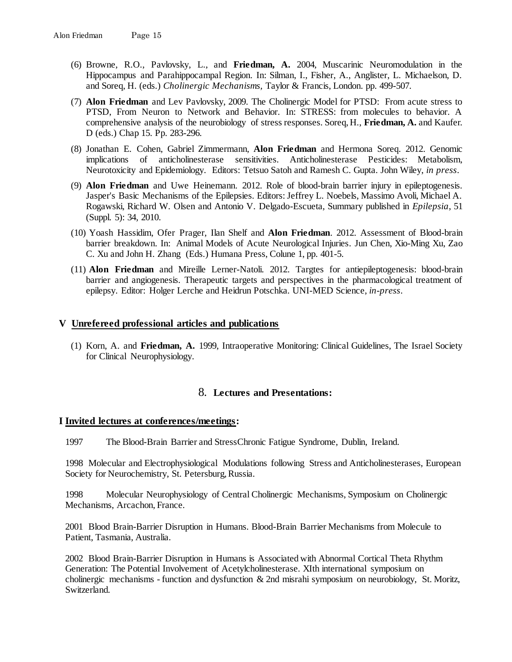- (6) Browne, R.O., Pavlovsky, L., and **Friedman, A.** 2004, Muscarinic Neuromodulation in the Hippocampus and Parahippocampal Region. In: Silman, I., Fisher, A., Anglister, L. Michaelson, D. and Soreq, H. (eds.) *Cholinergic Mechanisms,* Taylor & Francis, London. pp. 499-507.
- (7) **Alon Friedman** and Lev Pavlovsky, 2009. The Cholinergic Model for PTSD: From acute stress to PTSD, From Neuron to Network and Behavior. In: STRESS: from molecules to behavior. A comprehensive analysis of the neurobiology of stress responses. Soreq, H., **Friedman, A.** and Kaufer. D (eds.) Chap 15. Pp. 283-296.
- (8) Jonathan E. Cohen, Gabriel Zimmermann, **Alon Friedman** and Hermona Soreq. 2012. Genomic implications of anticholinesterase sensitivities. Anticholinesterase Pesticides: Metabolism, Neurotoxicity and Epidemiology. Editors: Tetsuo Satoh and Ramesh C. Gupta. John Wiley, *in press*.
- (9) **Alon Friedman** and Uwe Heinemann. 2012. Role of blood-brain barrier injury in epileptogenesis. Jasper's Basic Mechanisms of the Epilepsies. Editors: Jeffrey L. Noebels, Massimo Avoli, Michael A. Rogawski, Richard W. Olsen and Antonio V. Delgado-Escueta, Summary published in *Epilepsia*, 51 (Suppl. 5): 34, 2010.
- (10) Yoash Hassidim, Ofer Prager, Ilan Shelf and **Alon Friedman**. 2012. Assessment of Blood-brain barrier breakdown. In: Animal Models of Acute Neurological Injuries. Jun Chen, Xio-Ming Xu, Zao C. Xu and John H. Zhang (Eds.) Humana Press, Colune 1, pp. 401-5.
- (11) **Alon Friedman** and Mireille Lerner-Natoli. 2012. Targtes for antiepileptogenesis: blood-brain barrier and angiogenesis. Therapeutic targets and perspectives in the pharmacological treatment of epilepsy. Editor: Holger Lerche and Heidrun Potschka. UNI-MED Science, *in-press*.

## **V Unrefereed professional articles and publications**

(1) Korn, A. and **Friedman, A.** 1999, Intraoperative Monitoring: Clinical Guidelines, The Israel Society for Clinical Neurophysiology.

## 8. **Lectures and Presentations:**

## **I Invited lectures at conferences/meetings:**

1997 The Blood-Brain Barrier and StressChronic Fatigue Syndrome, Dublin, Ireland.

1998 Molecular and Electrophysiological Modulations following Stress and Anticholinesterases, European Society for Neurochemistry, St. Petersburg, Russia.

1998 Molecular Neurophysiology of Central Cholinergic Mechanisms, Symposium on Cholinergic Mechanisms, Arcachon, France.

2001 Blood Brain-Barrier Disruption in Humans. Blood-Brain Barrier Mechanisms from Molecule to Patient, Tasmania, Australia.

2002 Blood Brain-Barrier Disruption in Humans is Associated with Abnormal Cortical Theta Rhythm Generation: The Potential Involvement of Acetylcholinesterase. XIth international symposium on cholinergic mechanisms - function and dysfunction & 2nd misrahi symposium on neurobiology, St. Moritz, Switzerland.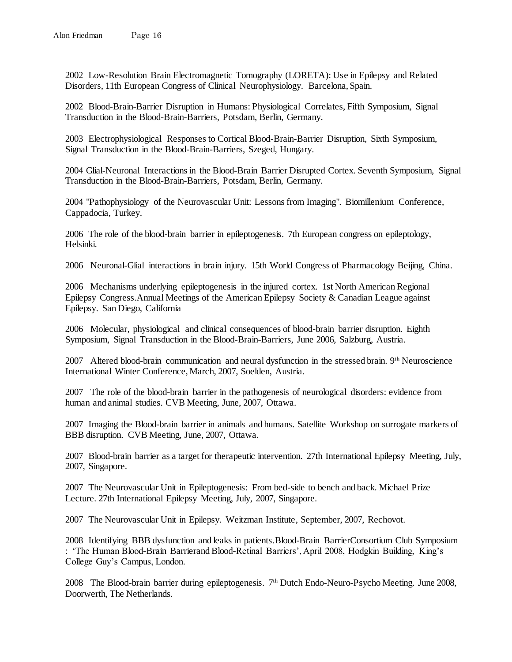2002 Low-Resolution Brain Electromagnetic Tomography (LORETA): Use in Epilepsy and Related Disorders, 11th European Congress of Clinical Neurophysiology. Barcelona, Spain.

2002 Blood-Brain-Barrier Disruption in Humans: Physiological Correlates, Fifth Symposium, Signal Transduction in the Blood-Brain-Barriers, Potsdam, Berlin, Germany.

2003 Electrophysiological Responses to Cortical Blood-Brain-Barrier Disruption, Sixth Symposium, Signal Transduction in the Blood-Brain-Barriers, Szeged, Hungary.

2004 Glial-Neuronal Interactions in the Blood-Brain Barrier Disrupted Cortex. Seventh Symposium, Signal Transduction in the Blood-Brain-Barriers, Potsdam, Berlin, Germany.

2004 "Pathophysiology of the Neurovascular Unit: Lessons from Imaging". Biomillenium Conference, Cappadocia, Turkey.

2006 The role of the blood-brain barrier in epileptogenesis. 7th European congress on epileptology, Helsinki.

2006 Neuronal-Glial interactions in brain injury. 15th World Congress of Pharmacology Beijing, China.

2006 Mechanisms underlying epileptogenesis in the injured cortex. 1st North American Regional Epilepsy Congress.Annual Meetings of the American Epilepsy Society & Canadian League against Epilepsy. San Diego, California

2006 Molecular, physiological and clinical consequences of blood-brain barrier disruption. Eighth Symposium, Signal Transduction in the Blood-Brain-Barriers, June 2006, Salzburg, Austria.

2007 Altered blood-brain communication and neural dysfunction in the stressed brain. 9th Neuroscience International Winter Conference, March, 2007, Soelden, Austria.

2007 The role of the blood-brain barrier in the pathogenesis of neurological disorders: evidence from human and animal studies. CVB Meeting, June, 2007, Ottawa.

2007 Imaging the Blood-brain barrier in animals and humans. Satellite Workshop on surrogate markers of BBB disruption. CVB Meeting, June, 2007, Ottawa.

2007 Blood-brain barrier as a target for therapeutic intervention. 27th International Epilepsy Meeting, July, 2007, Singapore.

2007 The Neurovascular Unit in Epileptogenesis: From bed-side to bench and back. Michael Prize Lecture. 27th International Epilepsy Meeting, July, 2007, Singapore.

2007 The Neurovascular Unit in Epilepsy. Weitzman Institute, September, 2007, Rechovot.

2008 Identifying BBB dysfunction and leaks in patients.Blood-Brain BarrierConsortium Club Symposium : 'The Human Blood-Brain Barrierand Blood-Retinal Barriers', April 2008, Hodgkin Building, King's College Guy's Campus, London.

2008 The Blood-brain barrier during epileptogenesis. 7th Dutch Endo-Neuro-Psycho Meeting. June 2008, Doorwerth, The Netherlands.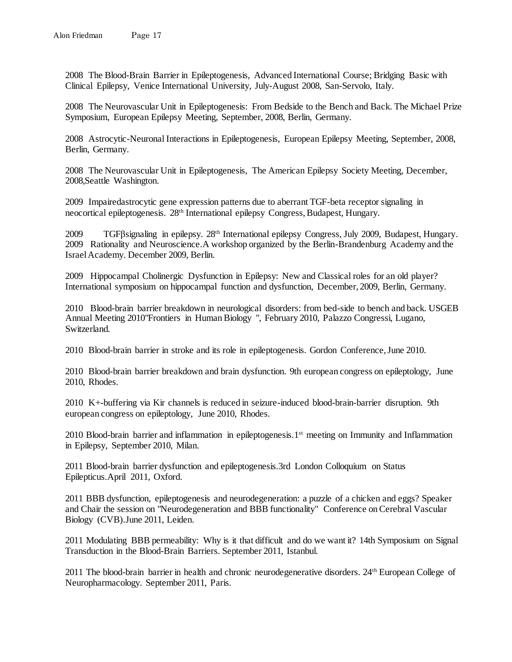2008 The Blood-Brain Barrier in Epileptogenesis, Advanced International Course; Bridging Basic with Clinical Epilepsy, Venice International University, July-August 2008, San-Servolo, Italy.

2008 The Neurovascular Unit in Epileptogenesis: From Bedside to the Bench and Back. The Michael Prize Symposium, European Epilepsy Meeting, September, 2008, Berlin, Germany.

2008 Astrocytic-Neuronal Interactions in Epileptogenesis, European Epilepsy Meeting, September, 2008, Berlin, Germany.

2008 The Neurovascular Unit in Epileptogenesis, The American Epilepsy Society Meeting, December, 2008,Seattle Washington.

2009 Impairedastrocytic gene expression patterns due to aberrant TGF-beta receptor signaling in neocortical epileptogenesis. 28th International epilepsy Congress, Budapest, Hungary.

2009 TGFβsignaling in epilepsy. 28th International epilepsy Congress, July 2009, Budapest, Hungary. 2009 Rationality and Neuroscience.A workshop organized by the Berlin-Brandenburg Academy and the Israel Academy. December 2009, Berlin.

2009 Hippocampal Cholinergic Dysfunction in Epilepsy: New and Classical roles for an old player? International symposium on hippocampal function and dysfunction, December, 2009, Berlin, Germany.

2010 Blood-brain barrier breakdown in neurological disorders: from bed-side to bench and back. USGEB Annual Meeting 2010"Frontiers in Human Biology ", February 2010, Palazzo Congressi, Lugano, Switzerland.

2010 Blood-brain barrier in stroke and its role in epileptogenesis. Gordon Conference, June 2010.

2010 Blood-brain barrier breakdown and brain dysfunction. 9th european congress on epileptology, June 2010, Rhodes.

2010 K+-buffering via Kir channels is reduced in seizure-induced blood-brain-barrier disruption. 9th european congress on epileptology, June 2010, Rhodes.

2010 Blood-brain barrier and inflammation in epileptogenesis.1<sup>st</sup> meeting on Immunity and Inflammation in Epilepsy, September 2010, Milan.

2011 Blood-brain barrier dysfunction and epileptogenesis.3rd London Colloquium on Status Epilepticus.April 2011, Oxford.

2011 BBB dysfunction, epileptogenesis and neurodegeneration: a puzzle of a chicken and eggs? Speaker and Chair the session on "Neurodegeneration and BBB functionality" Conference on Cerebral Vascular Biology (CVB).June 2011, Leiden.

2011 Modulating BBB permeability: Why is it that difficult and do we want it? 14th Symposium on Signal Transduction in the Blood-Brain Barriers. September 2011, Istanbul.

2011 The blood-brain barrier in health and chronic neurodegenerative disorders. 24th European College of Neuropharmacology. September 2011, Paris.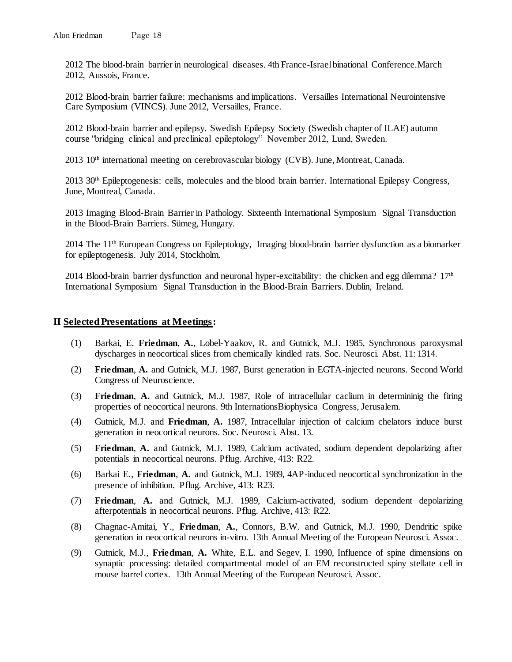2012 The blood-brain barrier in neurological diseases. 4th France-Israel binational Conference.March 2012, Aussois, France.

2012 Blood-brain barrier failure: mechanisms and implications. Versailles International Neurointensive Care Symposium (VINCS). June 2012, Versailles, France.

2012 Blood-brain barrier and epilepsy. Swedish Epilepsy Society (Swedish chapter of ILAE) autumn course "bridging clinical and preclinical epileptology" November 2012, Lund, Sweden.

2013 10<sup>th</sup> international meeting on cerebrovascular biology (CVB). June, Montreat, Canada.

2013 30th Epileptogenesis: cells, molecules and the blood brain barrier. International Epilepsy Congress, June, Montreal, Canada.

2013 Imaging Blood-Brain Barrier in Pathology. Sixteenth International Symposium Signal Transduction in the Blood-Brain Barriers. Sümeg, Hungary.

2014 The 11th European Congress on Epileptology, Imaging blood-brain barrier dysfunction as a biomarker for epileptogenesis. July 2014, Stockholm.

2014 Blood-brain barrier dysfunction and neuronal hyper-excitability: the chicken and egg dilemma? 17<sup>th</sup> International Symposium Signal Transduction in the Blood-Brain Barriers. Dublin, Ireland.

## **II Selected Presentations at Meetings:**

- (1) Barkai, E. **Friedman**, **A.**, Lobel-Yaakov, R. and Gutnick, M.J. 1985, Synchronous paroxysmal dyscharges in neocortical slices from chemically kindled rats. Soc. Neurosci. Abst. 11: 1314.
- (2) **Friedman**, **A.** and Gutnick, M.J. 1987, Burst generation in EGTA-injected neurons. Second World Congress of Neuroscience.
- (3) **Friedman**, **A.** and Gutnick, M.J. 1987, Role of intracellular caclium in determininig the firing properties of neocortical neurons. 9th InternationsBiophysica Congress, Jerusalem.
- (4) Gutnick, M.J. and **Friedman**, **A.** 1987, Intracellular injection of calcium chelators induce burst generation in neocortical neurons. Soc. Neurosci. Abst. 13.
- (5) **Friedman**, **A.** and Gutnick, M.J. 1989, Calcium activated, sodium dependent depolarizing after potentials in neocortical neurons. Pflug. Archive, 413: R22.
- (6) Barkai E., **Friedman**, **A.** and Gutnick, M.J. 1989, 4AP-induced neocortical synchronization in the presence of inhibition. Pflug. Archive, 413: R23.
- (7) **Friedman**, **A.** and Gutnick, M.J. 1989, Calcium-activated, sodium dependent depolarizing afterpotentials in neocortical neurons. Pflug. Archive, 413: R22.
- (8) Chagnac-Amitai, Y., **Friedman**, **A.**, Connors, B.W. and Gutnick, M.J. 1990, Dendritic spike generation in neocortical neurons in-vitro. 13th Annual Meeting of the European Neurosci. Assoc.
- (9) Gutnick, M.J., **Friedman**, **A.** White, E.L. and Segev, I. 1990, Influence of spine dimensions on synaptic processing: detailed compartmental model of an EM reconstructed spiny stellate cell in mouse barrel cortex. 13th Annual Meeting of the European Neurosci. Assoc.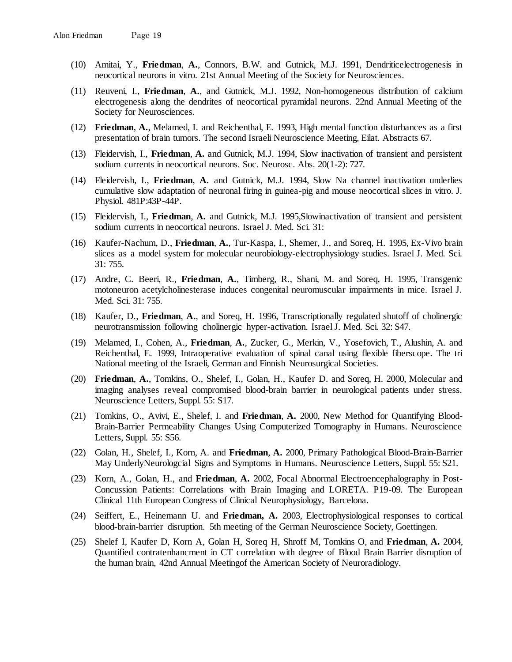- (10) Amitai, Y., **Friedman**, **A.**, Connors, B.W. and Gutnick, M.J. 1991, Dendriticelectrogenesis in neocortical neurons in vitro. 21st Annual Meeting of the Society for Neurosciences.
- (11) Reuveni, I., **Friedman**, **A.**, and Gutnick, M.J. 1992, Non-homogeneous distribution of calcium electrogenesis along the dendrites of neocortical pyramidal neurons. 22nd Annual Meeting of the Society for Neurosciences.
- (12) **Friedman**, **A.**, Melamed, I. and Reichenthal, E. 1993, High mental function disturbances as a first presentation of brain tumors. The second Israeli Neuroscience Meeting, Eilat. Abstracts 67.
- (13) Fleidervish, I., **Friedman**, **A.** and Gutnick, M.J. 1994, Slow inactivation of transient and persistent sodium currents in neocortical neurons. Soc. Neurosc. Abs. 20(1-2): 727.
- (14) Fleidervish, I., **Friedman**, **A.** and Gutnick, M.J. 1994, Slow Na channel inactivation underlies cumulative slow adaptation of neuronal firing in guinea-pig and mouse neocortical slices in vitro. J. Physiol. 481P:43P-44P.
- (15) Fleidervish, I., **Friedman**, **A.** and Gutnick, M.J. 1995,Slowinactivation of transient and persistent sodium currents in neocortical neurons. Israel J. Med. Sci. 31:
- (16) Kaufer-Nachum, D., **Friedman**, **A.**, Tur-Kaspa, I., Shemer, J., and Soreq, H. 1995, Ex-Vivo brain slices as a model system for molecular neurobiology-electrophysiology studies. Israel J. Med. Sci. 31: 755.
- (17) Andre, C. Beeri, R., **Friedman**, **A.**, Timberg, R., Shani, M. and Soreq, H. 1995, Transgenic motoneuron acetylcholinesterase induces congenital neuromuscular impairments in mice. Israel J. Med. Sci. 31: 755.
- (18) Kaufer, D., **Friedman**, **A.**, and Soreq, H. 1996, Transcriptionally regulated shutoff of cholinergic neurotransmission following cholinergic hyper-activation. Israel J. Med. Sci. 32: S47.
- (19) Melamed, I., Cohen, A., **Friedman**, **A.**, Zucker, G., Merkin, V., Yosefovich, T., Alushin, A. and Reichenthal, E. 1999, Intraoperative evaluation of spinal canal using flexible fiberscope. The tri National meeting of the Israeli, German and Finnish Neurosurgical Societies.
- (20) **Friedman**, **A.**, Tomkins, O., Shelef, I., Golan, H., Kaufer D. and Soreq, H. 2000, Molecular and imaging analyses reveal compromised blood-brain barrier in neurological patients under stress. Neuroscience Letters, Suppl. 55: S17.
- (21) Tomkins, O., Avivi, E., Shelef, I. and **Friedman**, **A.** 2000, New Method for Quantifying Blood-Brain-Barrier Permeability Changes Using Computerized Tomography in Humans. Neuroscience Letters, Suppl. 55: S56.
- (22) Golan, H., Shelef, I., Korn, A. and **Friedman**, **A.** 2000, Primary Pathological Blood-Brain-Barrier May UnderlyNeurologcial Signs and Symptoms in Humans. Neuroscience Letters, Suppl. 55: S21.
- (23) Korn, A., Golan, H., and **Friedman**, **A.** 2002, Focal Abnormal Electroencephalography in Post-Concussion Patients: Correlations with Brain Imaging and LORETA. P19-09. The European Clinical 11th European Congress of Clinical Neurophysiology, Barcelona.
- (24) Seiffert, E., Heinemann U. and **Friedman, A.** 2003, Electrophysiological responses to cortical blood-brain-barrier disruption. 5th meeting of the German Neuroscience Society, Goettingen.
- (25) Shelef I, Kaufer D, Korn A, Golan H, Soreq H, Shroff M, Tomkins O, and **Friedman**, **A.** 2004, Quantified contratenhancment in CT correlation with degree of Blood Brain Barrier disruption of the human brain, 42nd Annual Meetingof the American Society of Neuroradiology.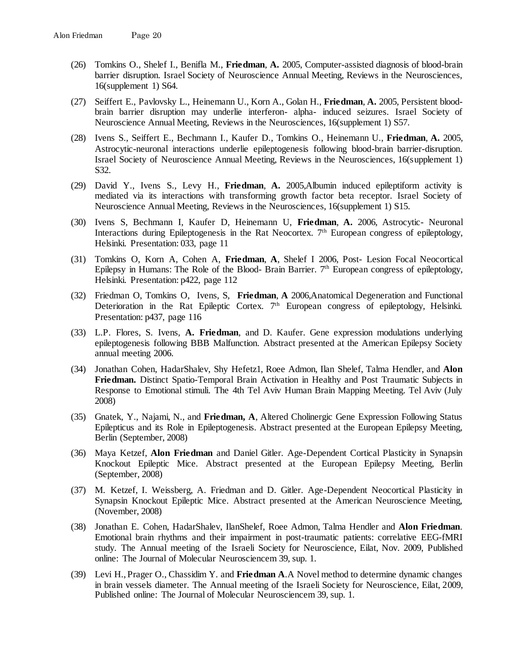- (26) Tomkins O., Shelef I., Benifla M., **Friedman**, **A.** 2005, Computer-assisted diagnosis of blood-brain barrier disruption. Israel Society of Neuroscience Annual Meeting, Reviews in the Neurosciences, 16(supplement 1) S64.
- (27) Seiffert E., Pavlovsky L., Heinemann U., Korn A., Golan H., **Friedman**, **A.** 2005, Persistent bloodbrain barrier disruption may underlie interferon- alpha- induced seizures. Israel Society of Neuroscience Annual Meeting, Reviews in the Neurosciences, 16(supplement 1) S57.
- (28) Ivens S., Seiffert E., Bechmann I., Kaufer D., Tomkins O., Heinemann U., **Friedman**, **A.** 2005, Astrocytic-neuronal interactions underlie epileptogenesis following blood-brain barrier-disruption. Israel Society of Neuroscience Annual Meeting, Reviews in the Neurosciences, 16(supplement 1) S32.
- (29) David Y., Ivens S., Levy H., **Friedman**, **A.** 2005,Albumin induced epileptiform activity is mediated via its interactions with transforming growth factor beta receptor. Israel Society of Neuroscience Annual Meeting, Reviews in the Neurosciences, 16(supplement 1) S15.
- (30) Ivens S, Bechmann I, Kaufer D, Heinemann U, **Friedman**, **A.** 2006, Astrocytic- Neuronal Interactions during Epileptogenesis in the Rat Neocortex.  $7<sup>th</sup>$  European congress of epileptology, Helsinki. Presentation: 033, page 11
- (31) Tomkins O, Korn A, Cohen A, **Friedman**, **A**, Shelef I 2006, Post- Lesion Focal Neocortical Epilepsy in Humans: The Role of the Blood- Brain Barrier. 7<sup>th</sup> European congress of epileptology, Helsinki. Presentation: p422, page 112
- (32) Friedman O, Tomkins O, Ivens, S, **Friedman**, **A** 2006,Anatomical Degeneration and Functional Deterioration in the Rat Epileptic Cortex. 7<sup>th</sup> European congress of epileptology, Helsinki. Presentation: p437, page 116
- (33) L.P. Flores, S. Ivens, **A. Friedman**, and D. Kaufer. Gene expression modulations underlying epileptogenesis following BBB Malfunction. Abstract presented at the American Epilepsy Society annual meeting 2006.
- (34) Jonathan Cohen, HadarShalev, Shy Hefetz1, Roee Admon, Ilan Shelef, Talma Hendler, and **Alon Friedman.** Distinct Spatio-Temporal Brain Activation in Healthy and Post Traumatic Subjects in Response to Emotional stimuli. The 4th Tel Aviv Human Brain Mapping Meeting. Tel Aviv (July 2008)
- (35) Gnatek, Y., Najami, N., and **Friedman, A**, Altered Cholinergic Gene Expression Following Status Epilepticus and its Role in Epileptogenesis. Abstract presented at the European Epilepsy Meeting, Berlin (September, 2008)
- (36) Maya Ketzef, **Alon Friedman** and Daniel Gitler. Age-Dependent Cortical Plasticity in Synapsin Knockout Epileptic Mice. Abstract presented at the European Epilepsy Meeting, Berlin (September, 2008)
- (37) M. Ketzef, I. Weissberg, A. Friedman and D. Gitler. Age-Dependent Neocortical Plasticity in Synapsin Knockout Epileptic Mice. Abstract presented at the American Neuroscience Meeting, (November, 2008)
- (38) Jonathan E. Cohen, HadarShalev, IlanShelef, Roee Admon, Talma Hendler and **Alon Friedman**. Emotional brain rhythms and their impairment in post-traumatic patients: correlative EEG-fMRI study. The Annual meeting of the Israeli Society for Neuroscience, Eilat, Nov. 2009, Published online: The Journal of Molecular Neurosciencem 39, sup. 1.
- (39) Levi H., Prager O., Chassidim Y. and **Friedman A**.A Novel method to determine dynamic changes in brain vessels diameter. The Annual meeting of the Israeli Society for Neuroscience, Eilat, 2009, Published online: The Journal of Molecular Neurosciencem 39, sup. 1.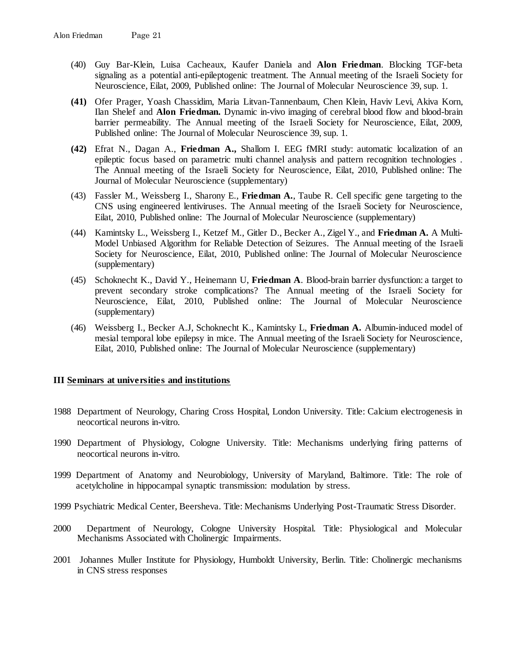- (40) Guy Bar-Klein, Luisa Cacheaux, Kaufer Daniela and **Alon Friedman**. Blocking TGF-beta signaling as a potential anti-epileptogenic treatment. The Annual meeting of the Israeli Society for Neuroscience, Eilat, 2009, Published online: The Journal of Molecular Neuroscience 39, sup. 1.
- **(41)** Ofer Prager, Yoash Chassidim, Maria Litvan-Tannenbaum, Chen Klein, Haviv Levi, Akiva Korn, Ilan Shelef and **Alon Friedman.** Dynamic in-vivo imaging of cerebral blood flow and blood-brain barrier permeability. The Annual meeting of the Israeli Society for Neuroscience, Eilat, 2009, Published online: The Journal of Molecular Neuroscience 39, sup. 1.
- **(42)** Efrat N., Dagan A., **Friedman A.,** Shallom I. EEG fMRI study: automatic localization of an epileptic focus based on parametric multi channel analysis and pattern recognition technologies . The Annual meeting of the Israeli Society for Neuroscience, Eilat, 2010, Published online: The Journal of Molecular Neuroscience (supplementary)
- (43) Fassler M., Weissberg I., Sharony E., **Friedman A.**, Taube R. Cell specific gene targeting to the CNS using engineered lentiviruses. The Annual meeting of the Israeli Society for Neuroscience, Eilat, 2010, Published online: The Journal of Molecular Neuroscience (supplementary)
- (44) Kamintsky L., Weissberg I., Ketzef M., Gitler D., Becker A., Zigel Y., and **Friedman A.** A Multi-Model Unbiased Algorithm for Reliable Detection of Seizures. The Annual meeting of the Israeli Society for Neuroscience, Eilat, 2010, Published online: The Journal of Molecular Neuroscience (supplementary)
- (45) Schoknecht K., David Y., Heinemann U, **Friedman A**. Blood-brain barrier dysfunction: a target to prevent secondary stroke complications? The Annual meeting of the Israeli Society for Neuroscience, Eilat, 2010, Published online: The Journal of Molecular Neuroscience (supplementary)
- (46) Weissberg I., Becker A.J, Schoknecht K., Kamintsky L, **Friedman A.** Albumin-induced model of mesial temporal lobe epilepsy in mice. The Annual meeting of the Israeli Society for Neuroscience, Eilat, 2010, Published online: The Journal of Molecular Neuroscience (supplementary)

## **III Seminars at universities and institutions**

- 1988 Department of Neurology, Charing Cross Hospital, London University. Title: Calcium electrogenesis in neocortical neurons in-vitro.
- 1990 Department of Physiology, Cologne University. Title: Mechanisms underlying firing patterns of neocortical neurons in-vitro.
- 1999 Department of Anatomy and Neurobiology, University of Maryland, Baltimore. Title: The role of acetylcholine in hippocampal synaptic transmission: modulation by stress.
- 1999 Psychiatric Medical Center, Beersheva. Title: Mechanisms Underlying Post-Traumatic Stress Disorder.
- 2000 Department of Neurology, Cologne University Hospital. Title: Physiological and Molecular Mechanisms Associated with Cholinergic Impairments.
- 2001 Johannes Muller Institute for Physiology, Humboldt University, Berlin. Title: Cholinergic mechanisms in CNS stress responses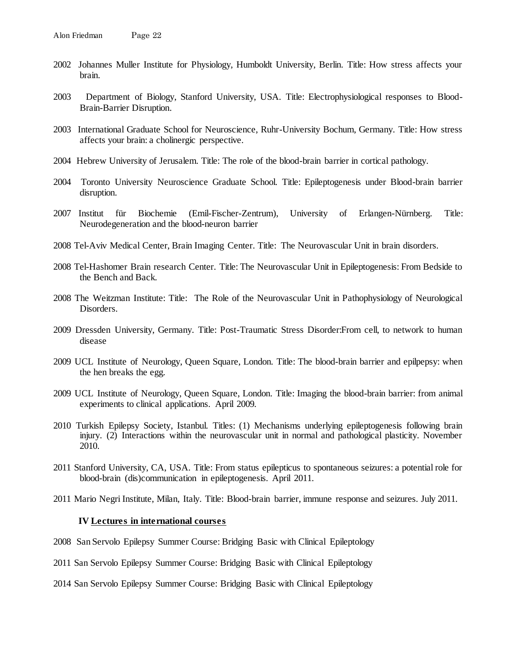- 2002 Johannes Muller Institute for Physiology, Humboldt University, Berlin. Title: How stress affects your brain.
- 2003 Department of Biology, Stanford University, USA. Title: Electrophysiological responses to Blood-Brain-Barrier Disruption.
- 2003 International Graduate School for Neuroscience, Ruhr-University Bochum, Germany. Title: How stress affects your brain: a cholinergic perspective.
- 2004 Hebrew University of Jerusalem. Title: The role of the blood-brain barrier in cortical pathology.
- 2004 Toronto University Neuroscience Graduate School. Title: Epileptogenesis under Blood-brain barrier disruption.
- 2007 Institut für Biochemie (Emil-Fischer-Zentrum), University of Erlangen-Nürnberg. Title: Neurodegeneration and the blood-neuron barrier
- 2008 Tel-Aviv Medical Center, Brain Imaging Center. Title: The Neurovascular Unit in brain disorders.
- 2008 Tel-Hashomer Brain research Center. Title: The Neurovascular Unit in Epileptogenesis: From Bedside to the Bench and Back.
- 2008 The Weitzman Institute: Title: The Role of the Neurovascular Unit in Pathophysiology of Neurological Disorders.
- 2009 Dressden University, Germany. Title: Post-Traumatic Stress Disorder:From cell, to network to human disease
- 2009 UCL Institute of Neurology, Queen Square, London. Title: The blood-brain barrier and epilpepsy: when the hen breaks the egg.
- 2009 UCL Institute of Neurology, Queen Square, London. Title: Imaging the blood-brain barrier: from animal experiments to clinical applications. April 2009.
- 2010 Turkish Epilepsy Society, Istanbul. Titles: (1) Mechanisms underlying epileptogenesis following brain injury. (2) Interactions within the neurovascular unit in normal and pathological plasticity. November 2010.
- 2011 Stanford University, CA, USA. Title: From status epilepticus to spontaneous seizures: a potential role for blood-brain (dis)communication in epileptogenesis. April 2011.
- 2011 Mario Negri Institute, Milan, Italy. Title: Blood-brain barrier, immune response and seizures. July 2011.

#### **IV Lectures in international courses**

- 2008 San Servolo Epilepsy Summer Course: Bridging Basic with Clinical Epileptology
- 2011 San Servolo Epilepsy Summer Course: Bridging Basic with Clinical Epileptology
- 2014 San Servolo Epilepsy Summer Course: Bridging Basic with Clinical Epileptology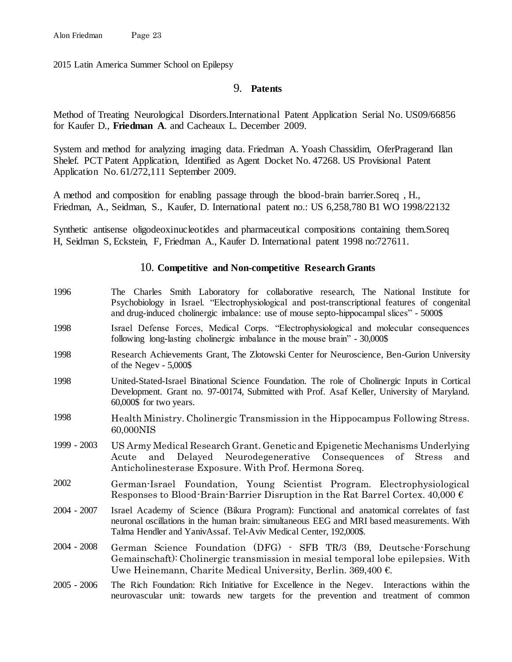2015 Latin America Summer School on Epilepsy

# 9. **Patents**

Method of Treating Neurological Disorders.International Patent Application Serial No. US09/66856 for Kaufer D., **Friedman A**. and Cacheaux L. December 2009.

System and method for analyzing imaging data. Friedman A. Yoash Chassidim, OferPragerand Ilan Shelef. PCT Patent Application, Identified as Agent Docket No. 47268. US Provisional Patent Application No. 61/272,111 September 2009.

A method and composition for enabling passage through the blood-brain barrier.Soreq , H., Friedman, A., Seidman, S., Kaufer, D. International patent no.: US 6,258,780 B1 WO 1998/22132

Synthetic antisense oligodeoxinucleotides and pharmaceutical compositions containing them.Soreq H, Seidman S, Eckstein, F, Friedman A., Kaufer D. International patent 1998 no:727611.

## 10. **Competitive and Non-competitive Research Grants**

- 1996 The Charles Smith Laboratory for collaborative research, The National Institute for Psychobiology in Israel. "Electrophysiological and post-transcriptional features of congenital and drug-induced cholinergic imbalance: use of mouse septo-hippocampal slices" - 5000\$
- 1998 Israel Defense Forces, Medical Corps. "Electrophysiological and molecular consequences following long-lasting cholinergic imbalance in the mouse brain" - 30,000\$
- 1998 Research Achievements Grant, The Zlotowski Center for Neuroscience, Ben-Gurion University of the Negev - 5,000\$
- 1998 United-Stated-Israel Binational Science Foundation. The role of Cholinergic Inputs in Cortical Development. Grant no. 97-00174, Submitted with Prof. Asaf Keller, University of Maryland. 60,000\$ for two years.
- 1998 Health Ministry. Cholinergic Transmission in the Hippocampus Following Stress. 60,000NIS
- 1999 2003 US Army Medical Research Grant. Genetic and Epigenetic Mechanisms Underlying Acute and Delayed Neurodegenerative Consequences of Stress and Anticholinesterase Exposure. With Prof. Hermona Soreq.
- 2002 German-Israel Foundation, Young Scientist Program. Electrophysiological Responses to Blood-Brain-Barrier Disruption in the Rat Barrel Cortex.  $40,000 \in$
- 2004 2007 Israel Academy of Science (Bikura Program): Functional and anatomical correlates of fast neuronal oscillations in the human brain: simultaneous EEG and MRI based measurements. With Talma Hendler and YanivAssaf. Tel-Aviv Medical Center, 192,000\$.
- 2004 2008 German Science Foundation (DFG) SFB TR/3 (B9, Deutsche-Forschung Gemainschaft): Cholinergic transmission in mesial temporal lobe epilepsies. With Uwe Heinemann, Charite Medical University, Berlin. 369,400 €.
- 2005 2006 The Rich Foundation: Rich Initiative for Excellence in the Negev. Interactions within the neurovascular unit: towards new targets for the prevention and treatment of common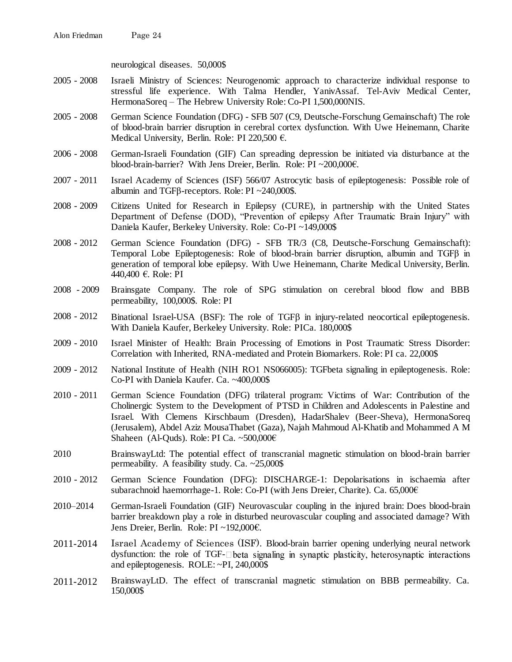neurological diseases. 50,000\$

- 2005 2008 Israeli Ministry of Sciences: Neurogenomic approach to characterize individual response to stressful life experience. With Talma Hendler, YanivAssaf. Tel-Aviv Medical Center, HermonaSoreq – The Hebrew University Role: Co-PI 1,500,000NIS.
- 2005 2008 German Science Foundation (DFG) SFB 507 (C9, Deutsche-Forschung Gemainschaft) The role of blood-brain barrier disruption in cerebral cortex dysfunction. With Uwe Heinemann, Charite Medical University, Berlin. Role: PI 220,500 €.
- 2006 2008 German-Israeli Foundation (GIF) Can spreading depression be initiated via disturbance at the blood-brain-barrier? With Jens Dreier, Berlin. Role: PI ~200,000€.
- 2007 2011 Israel Academy of Sciences (ISF) 566/07 Astrocytic basis of epileptogenesis: Possible role of albumin and TGFβ-receptors. Role: PI ~240,000\$.
- 2008 2009 Citizens United for Research in Epilepsy (CURE), in partnership with the United States Department of Defense (DOD), "Prevention of epilepsy After Traumatic Brain Injury" with Daniela Kaufer, Berkeley University. Role: Co-PI ~149,000\$
- 2008 2012 German Science Foundation (DFG) SFB TR/3 (C8, Deutsche-Forschung Gemainschaft): Temporal Lobe Epileptogenesis: Role of blood-brain barrier disruption, albumin and TGFβ in generation of temporal lobe epilepsy. With Uwe Heinemann, Charite Medical University, Berlin. 440,400 €. Role: PI
- 2008 2009 Brainsgate Company. The role of SPG stimulation on cerebral blood flow and BBB permeability, 100,000\$. Role: PI
- 2008 2012 Binational Israel-USA (BSF): The role of TGFB in injury-related neocortical epileptogenesis. With Daniela Kaufer, Berkeley University. Role: PICa. 180,000\$
- 2009 2010 Israel Minister of Health: Brain Processing of Emotions in Post Traumatic Stress Disorder: Correlation with Inherited, RNA-mediated and Protein Biomarkers. Role: PI ca. 22,000\$
- 2009 2012 National Institute of Health (NIH RO1 NS066005): TGFbeta signaling in epileptogenesis. Role: Co-PI with Daniela Kaufer. Ca. ~400,000\$
- 2010 2011 German Science Foundation (DFG) trilateral program: Victims of War: Contribution of the Cholinergic System to the Development of PTSD in Children and Adolescents in Palestine and Israel. With Clemens Kirschbaum (Dresden), HadarShalev (Beer-Sheva), HermonaSoreq (Jerusalem), Abdel Aziz MousaThabet (Gaza), Najah Mahmoud Al-Khatib and Mohammed A M Shaheen (Al-Quds). Role: PI Ca. ~500,000€
- 2010 BrainswayLtd: The potential effect of transcranial magnetic stimulation on blood-brain barrier permeability. A feasibility study. Ca. ~25,000\$
- 2010 2012 German Science Foundation (DFG): DISCHARGE-1: Depolarisations in ischaemia after subarachnoid haemorrhage-1. Role: Co-PI (with Jens Dreier, Charite). Ca. 65,000€
- 2010–2014 German-Israeli Foundation (GIF) Neurovascular coupling in the injured brain: Does blood-brain barrier breakdown play a role in disturbed neurovascular coupling and associated damage? With Jens Dreier, Berlin. Role: PI ~192,000€.
- 2011-2014 Israel Academy of Sciences (ISF). Blood-brain barrier opening underlying neural network dysfunction: the role of TGF- $\square$  beta signaling in synaptic plasticity, heterosynaptic interactions and epileptogenesis. ROLE: ~PI, 240,000\$
- 2011-2012 BrainswayLtD. The effect of transcranial magnetic stimulation on BBB permeability. Ca. 150,000\$